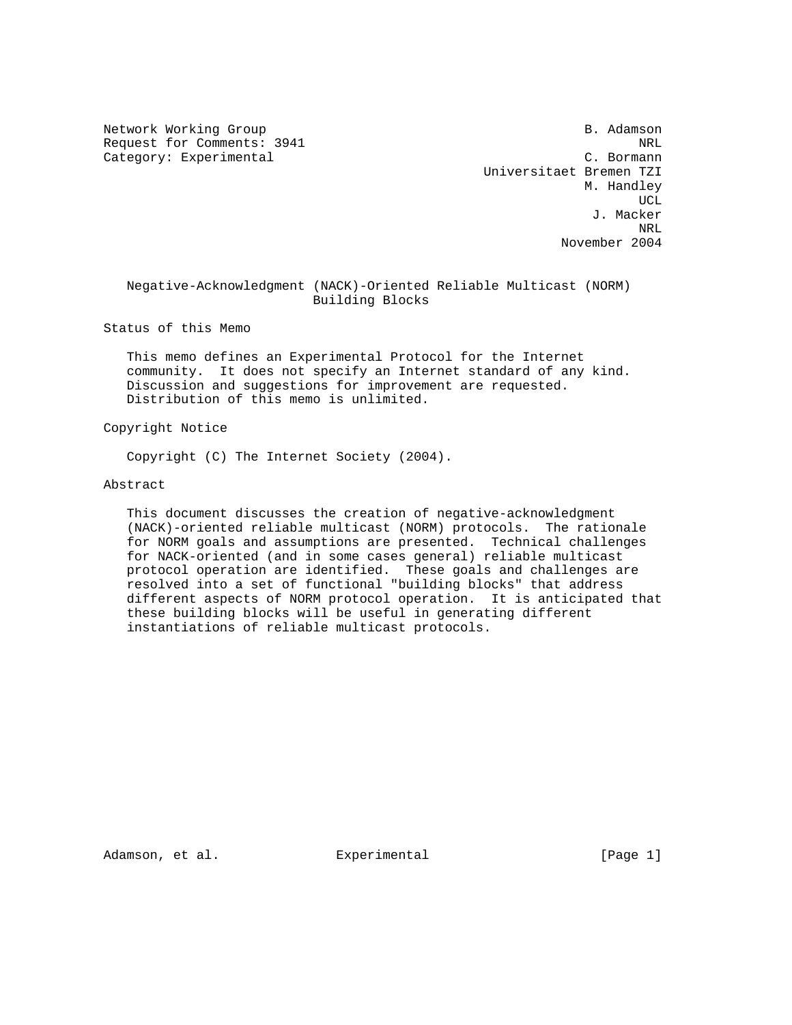Network Working Group and the set of the set of the set of the set of the set of the set of the set of the set of the set of the set of the set of the set of the set of the set of the set of the set of the set of the set o Request for Comments: 3941 NRL Category: Experimental

 Universitaet Bremen TZI M. Handley ucle and the contract of the contract of the contract of the contract of the contract of the contract of the c J. Macker ne de la provincia de la provincia de la provincia de la provincia de la provincia de la provincia de la provi<br>NRL November 2004

 Negative-Acknowledgment (NACK)-Oriented Reliable Multicast (NORM) Building Blocks

Status of this Memo

 This memo defines an Experimental Protocol for the Internet community. It does not specify an Internet standard of any kind. Discussion and suggestions for improvement are requested. Distribution of this memo is unlimited.

Copyright Notice

Copyright (C) The Internet Society (2004).

Abstract

 This document discusses the creation of negative-acknowledgment (NACK)-oriented reliable multicast (NORM) protocols. The rationale for NORM goals and assumptions are presented. Technical challenges for NACK-oriented (and in some cases general) reliable multicast protocol operation are identified. These goals and challenges are resolved into a set of functional "building blocks" that address different aspects of NORM protocol operation. It is anticipated that these building blocks will be useful in generating different instantiations of reliable multicast protocols.

Adamson, et al. Experimental [Page 1]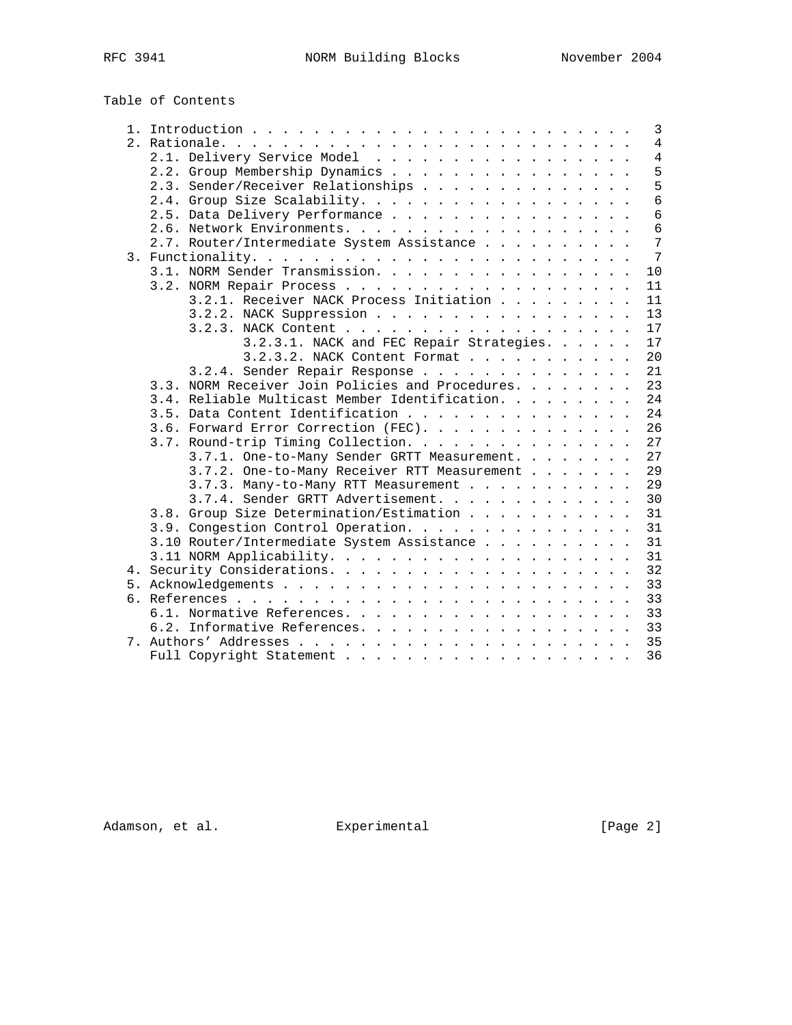# Table of Contents

| 3                                                      |
|--------------------------------------------------------|
| $\overline{4}$                                         |
| 2.1. Delivery Service Model<br>$\overline{4}$          |
| 5<br>2.2. Group Membership Dynamics                    |
| 5<br>2.3. Sender/Receiver Relationships                |
| 6<br>2.4. Group Size Scalability.                      |
| 6<br>2.5. Data Delivery Performance                    |
| 6                                                      |
| 7<br>2.7. Router/Intermediate System Assistance        |
| $7\phantom{.0}$                                        |
| 3.1. NORM Sender Transmission.<br>10                   |
| 11                                                     |
| 3.2.1. Receiver NACK Process Initiation<br>11          |
| 3.2.2. NACK Suppression<br>13                          |
| 17                                                     |
| 3.2.3.1. NACK and FEC Repair Strategies.<br>17         |
| 3.2.3.2. NACK Content Format<br>20                     |
| 3.2.4. Sender Repair Response<br>21                    |
| 3.3. NORM Receiver Join Policies and Procedures.<br>23 |
| 3.4. Reliable Multicast Member Identification.<br>24   |
| 3.5. Data Content Identification<br>24                 |
| 26                                                     |
| 3.6. Forward Error Correction (FEC).                   |
| 3.7. Round-trip Timing Collection.<br>27               |
| 27<br>3.7.1. One-to-Many Sender GRTT Measurement.      |
| 3.7.2. One-to-Many Receiver RTT Measurement<br>29      |
| 3.7.3. Many-to-Many RTT Measurement<br>29              |
| 3.7.4. Sender GRTT Advertisement.<br>30                |
| 3.8. Group Size Determination/Estimation<br>31         |
| 3.9. Congestion Control Operation.<br>31               |
| 3.10 Router/Intermediate System Assistance<br>31       |
| 31                                                     |
| 32                                                     |
| 33                                                     |
| 33                                                     |
| 33                                                     |
| 6.2. Informative References.<br>33                     |
| 35                                                     |
| 36                                                     |

Adamson, et al. Experimental Experimental [Page 2]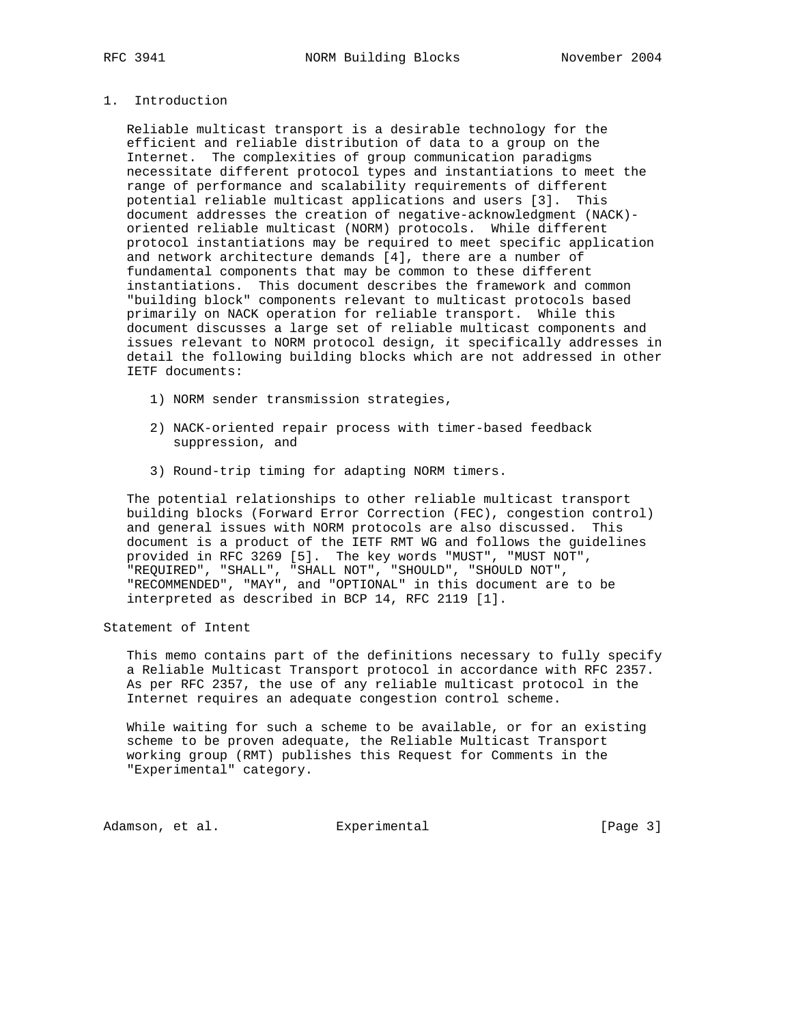# 1. Introduction

 Reliable multicast transport is a desirable technology for the efficient and reliable distribution of data to a group on the Internet. The complexities of group communication paradigms necessitate different protocol types and instantiations to meet the range of performance and scalability requirements of different potential reliable multicast applications and users [3]. This document addresses the creation of negative-acknowledgment (NACK) oriented reliable multicast (NORM) protocols. While different protocol instantiations may be required to meet specific application and network architecture demands [4], there are a number of fundamental components that may be common to these different instantiations. This document describes the framework and common "building block" components relevant to multicast protocols based primarily on NACK operation for reliable transport. While this document discusses a large set of reliable multicast components and issues relevant to NORM protocol design, it specifically addresses in detail the following building blocks which are not addressed in other IETF documents:

- 1) NORM sender transmission strategies,
- 2) NACK-oriented repair process with timer-based feedback suppression, and
- 3) Round-trip timing for adapting NORM timers.

 The potential relationships to other reliable multicast transport building blocks (Forward Error Correction (FEC), congestion control) and general issues with NORM protocols are also discussed. This document is a product of the IETF RMT WG and follows the guidelines provided in RFC 3269 [5]. The key words "MUST", "MUST NOT", "REQUIRED", "SHALL", "SHALL NOT", "SHOULD", "SHOULD NOT", "RECOMMENDED", "MAY", and "OPTIONAL" in this document are to be interpreted as described in BCP 14, RFC 2119 [1].

Statement of Intent

 This memo contains part of the definitions necessary to fully specify a Reliable Multicast Transport protocol in accordance with RFC 2357. As per RFC 2357, the use of any reliable multicast protocol in the Internet requires an adequate congestion control scheme.

 While waiting for such a scheme to be available, or for an existing scheme to be proven adequate, the Reliable Multicast Transport working group (RMT) publishes this Request for Comments in the "Experimental" category.

Adamson, et al. Experimental Experimental [Page 3]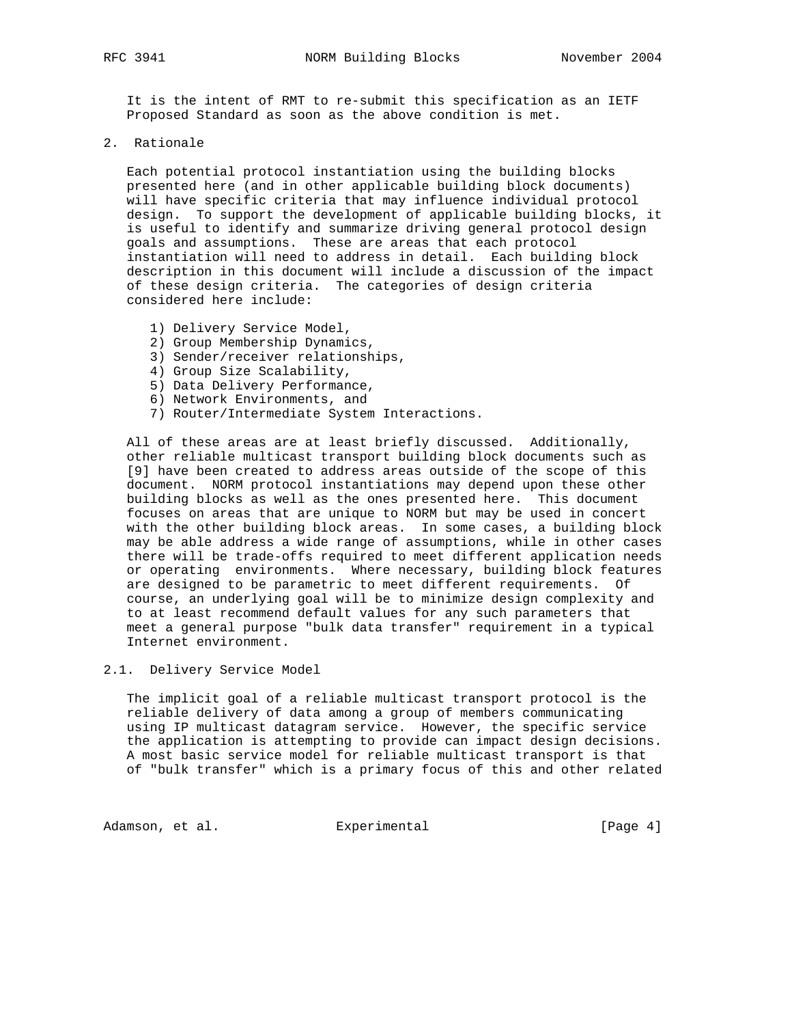It is the intent of RMT to re-submit this specification as an IETF Proposed Standard as soon as the above condition is met.

2. Rationale

 Each potential protocol instantiation using the building blocks presented here (and in other applicable building block documents) will have specific criteria that may influence individual protocol design. To support the development of applicable building blocks, it is useful to identify and summarize driving general protocol design goals and assumptions. These are areas that each protocol instantiation will need to address in detail. Each building block description in this document will include a discussion of the impact of these design criteria. The categories of design criteria considered here include:

- 1) Delivery Service Model,
- 2) Group Membership Dynamics,
- 3) Sender/receiver relationships,
- 4) Group Size Scalability,
- 5) Data Delivery Performance,
- 6) Network Environments, and
- 7) Router/Intermediate System Interactions.

 All of these areas are at least briefly discussed. Additionally, other reliable multicast transport building block documents such as [9] have been created to address areas outside of the scope of this document. NORM protocol instantiations may depend upon these other building blocks as well as the ones presented here. This document focuses on areas that are unique to NORM but may be used in concert with the other building block areas. In some cases, a building block may be able address a wide range of assumptions, while in other cases there will be trade-offs required to meet different application needs or operating environments. Where necessary, building block features are designed to be parametric to meet different requirements. Of course, an underlying goal will be to minimize design complexity and to at least recommend default values for any such parameters that meet a general purpose "bulk data transfer" requirement in a typical Internet environment.

2.1. Delivery Service Model

 The implicit goal of a reliable multicast transport protocol is the reliable delivery of data among a group of members communicating using IP multicast datagram service. However, the specific service the application is attempting to provide can impact design decisions. A most basic service model for reliable multicast transport is that of "bulk transfer" which is a primary focus of this and other related

Adamson, et al. **Experimental** Experimental [Page 4]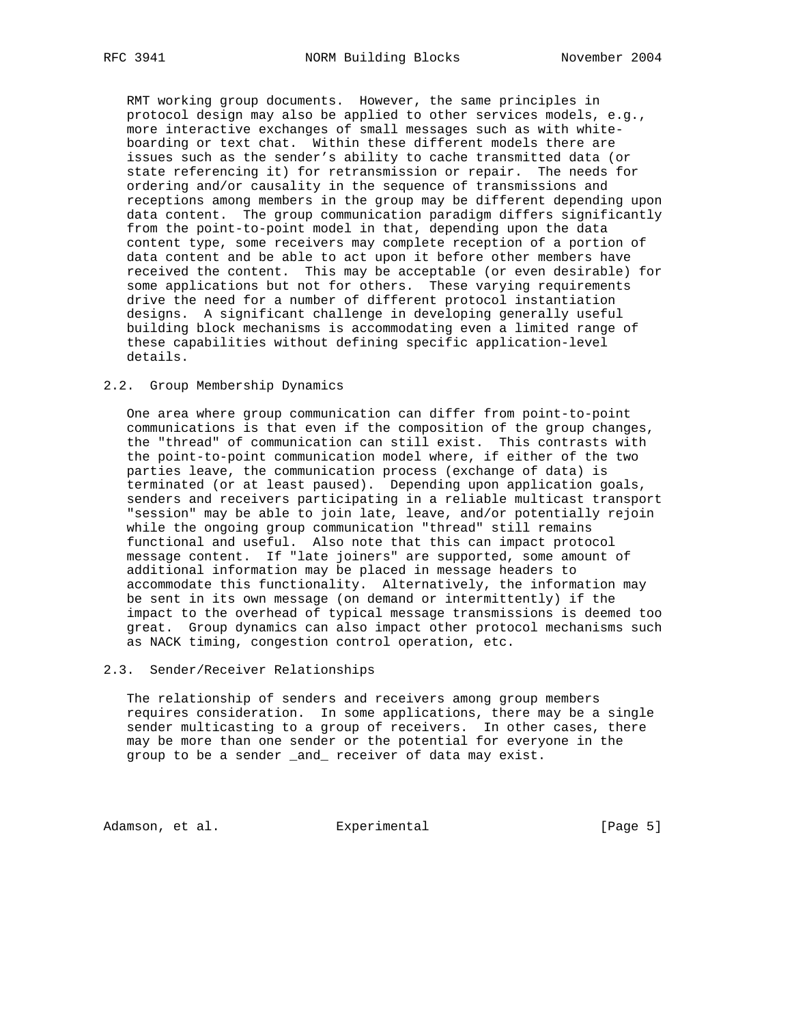RMT working group documents. However, the same principles in protocol design may also be applied to other services models, e.g., more interactive exchanges of small messages such as with white boarding or text chat. Within these different models there are issues such as the sender's ability to cache transmitted data (or state referencing it) for retransmission or repair. The needs for ordering and/or causality in the sequence of transmissions and receptions among members in the group may be different depending upon data content. The group communication paradigm differs significantly from the point-to-point model in that, depending upon the data content type, some receivers may complete reception of a portion of data content and be able to act upon it before other members have received the content. This may be acceptable (or even desirable) for some applications but not for others. These varying requirements drive the need for a number of different protocol instantiation designs. A significant challenge in developing generally useful building block mechanisms is accommodating even a limited range of these capabilities without defining specific application-level details.

#### 2.2. Group Membership Dynamics

 One area where group communication can differ from point-to-point communications is that even if the composition of the group changes, the "thread" of communication can still exist. This contrasts with the point-to-point communication model where, if either of the two parties leave, the communication process (exchange of data) is terminated (or at least paused). Depending upon application goals, senders and receivers participating in a reliable multicast transport "session" may be able to join late, leave, and/or potentially rejoin while the ongoing group communication "thread" still remains functional and useful. Also note that this can impact protocol message content. If "late joiners" are supported, some amount of additional information may be placed in message headers to accommodate this functionality. Alternatively, the information may be sent in its own message (on demand or intermittently) if the impact to the overhead of typical message transmissions is deemed too great. Group dynamics can also impact other protocol mechanisms such as NACK timing, congestion control operation, etc.

#### 2.3. Sender/Receiver Relationships

 The relationship of senders and receivers among group members requires consideration. In some applications, there may be a single sender multicasting to a group of receivers. In other cases, there may be more than one sender or the potential for everyone in the group to be a sender \_and\_ receiver of data may exist.

Adamson, et al. **Experimental** Experimental [Page 5]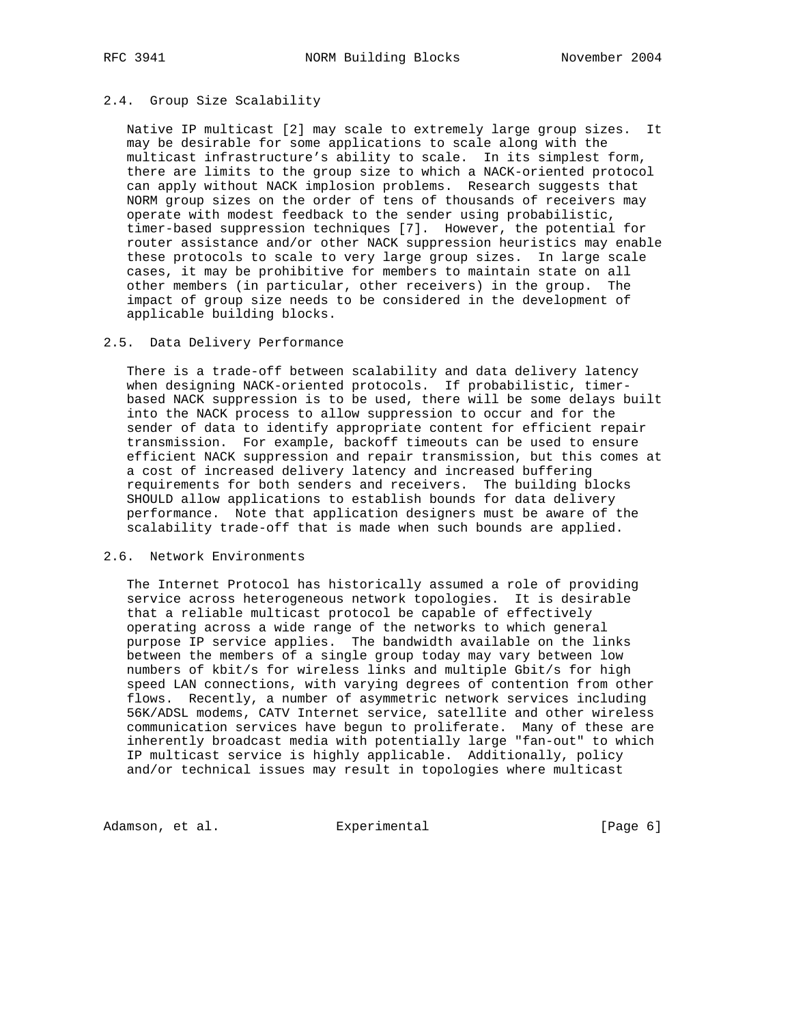#### 2.4. Group Size Scalability

 Native IP multicast [2] may scale to extremely large group sizes. It may be desirable for some applications to scale along with the multicast infrastructure's ability to scale. In its simplest form, there are limits to the group size to which a NACK-oriented protocol can apply without NACK implosion problems. Research suggests that NORM group sizes on the order of tens of thousands of receivers may operate with modest feedback to the sender using probabilistic, timer-based suppression techniques [7]. However, the potential for router assistance and/or other NACK suppression heuristics may enable these protocols to scale to very large group sizes. In large scale cases, it may be prohibitive for members to maintain state on all other members (in particular, other receivers) in the group. The impact of group size needs to be considered in the development of applicable building blocks.

#### 2.5. Data Delivery Performance

 There is a trade-off between scalability and data delivery latency when designing NACK-oriented protocols. If probabilistic, timer based NACK suppression is to be used, there will be some delays built into the NACK process to allow suppression to occur and for the sender of data to identify appropriate content for efficient repair transmission. For example, backoff timeouts can be used to ensure efficient NACK suppression and repair transmission, but this comes at a cost of increased delivery latency and increased buffering requirements for both senders and receivers. The building blocks SHOULD allow applications to establish bounds for data delivery performance. Note that application designers must be aware of the scalability trade-off that is made when such bounds are applied.

#### 2.6. Network Environments

 The Internet Protocol has historically assumed a role of providing service across heterogeneous network topologies. It is desirable that a reliable multicast protocol be capable of effectively operating across a wide range of the networks to which general purpose IP service applies. The bandwidth available on the links between the members of a single group today may vary between low numbers of kbit/s for wireless links and multiple Gbit/s for high speed LAN connections, with varying degrees of contention from other flows. Recently, a number of asymmetric network services including 56K/ADSL modems, CATV Internet service, satellite and other wireless communication services have begun to proliferate. Many of these are inherently broadcast media with potentially large "fan-out" to which IP multicast service is highly applicable. Additionally, policy and/or technical issues may result in topologies where multicast

Adamson, et al. Experimental Experimental [Page 6]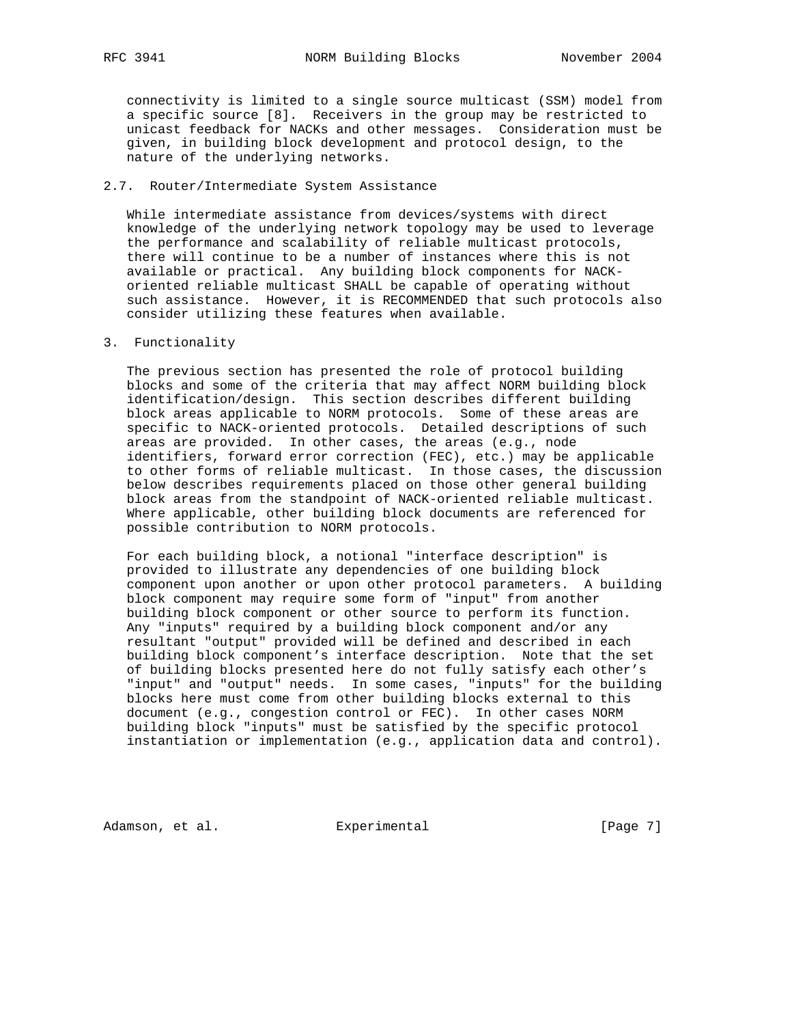connectivity is limited to a single source multicast (SSM) model from a specific source [8]. Receivers in the group may be restricted to unicast feedback for NACKs and other messages. Consideration must be given, in building block development and protocol design, to the nature of the underlying networks.

# 2.7. Router/Intermediate System Assistance

 While intermediate assistance from devices/systems with direct knowledge of the underlying network topology may be used to leverage the performance and scalability of reliable multicast protocols, there will continue to be a number of instances where this is not available or practical. Any building block components for NACK oriented reliable multicast SHALL be capable of operating without such assistance. However, it is RECOMMENDED that such protocols also consider utilizing these features when available.

#### 3. Functionality

 The previous section has presented the role of protocol building blocks and some of the criteria that may affect NORM building block identification/design. This section describes different building block areas applicable to NORM protocols. Some of these areas are specific to NACK-oriented protocols. Detailed descriptions of such areas are provided. In other cases, the areas (e.g., node identifiers, forward error correction (FEC), etc.) may be applicable to other forms of reliable multicast. In those cases, the discussion below describes requirements placed on those other general building block areas from the standpoint of NACK-oriented reliable multicast. Where applicable, other building block documents are referenced for possible contribution to NORM protocols.

 For each building block, a notional "interface description" is provided to illustrate any dependencies of one building block component upon another or upon other protocol parameters. A building block component may require some form of "input" from another building block component or other source to perform its function. Any "inputs" required by a building block component and/or any resultant "output" provided will be defined and described in each building block component's interface description. Note that the set of building blocks presented here do not fully satisfy each other's "input" and "output" needs. In some cases, "inputs" for the building blocks here must come from other building blocks external to this document (e.g., congestion control or FEC). In other cases NORM building block "inputs" must be satisfied by the specific protocol instantiation or implementation (e.g., application data and control).

Adamson, et al. Experimental Experimental [Page 7]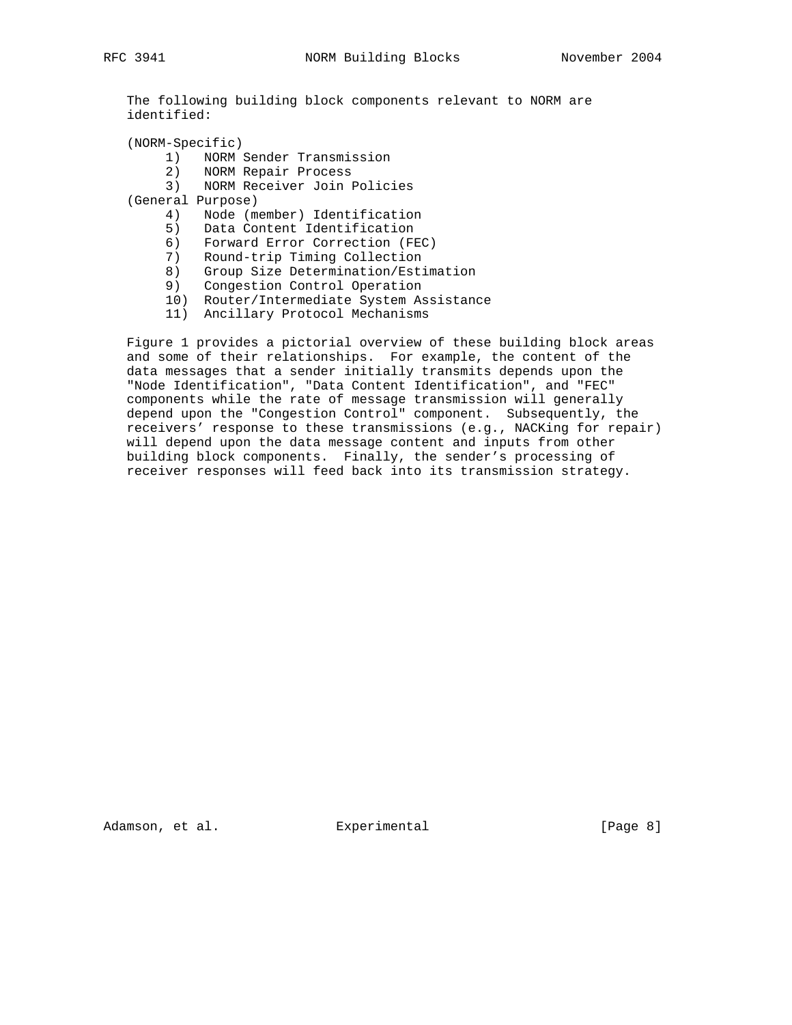The following building block components relevant to NORM are identified:

(NORM-Specific)

- 1) NORM Sender Transmission
- 2) NORM Repair Process
- 3) NORM Receiver Join Policies
- (General Purpose)
	- 4) Node (member) Identification
	- 5) Data Content Identification
	- 6) Forward Error Correction (FEC)
	- 7) Round-trip Timing Collection
- 8) Group Size Determination/Estimation
- 9) Congestion Control Operation
	- 10) Router/Intermediate System Assistance
	- 11) Ancillary Protocol Mechanisms

 Figure 1 provides a pictorial overview of these building block areas and some of their relationships. For example, the content of the data messages that a sender initially transmits depends upon the "Node Identification", "Data Content Identification", and "FEC" components while the rate of message transmission will generally depend upon the "Congestion Control" component. Subsequently, the receivers' response to these transmissions (e.g., NACKing for repair) will depend upon the data message content and inputs from other building block components. Finally, the sender's processing of receiver responses will feed back into its transmission strategy.

Adamson, et al. **Experimental** Experimental [Page 8]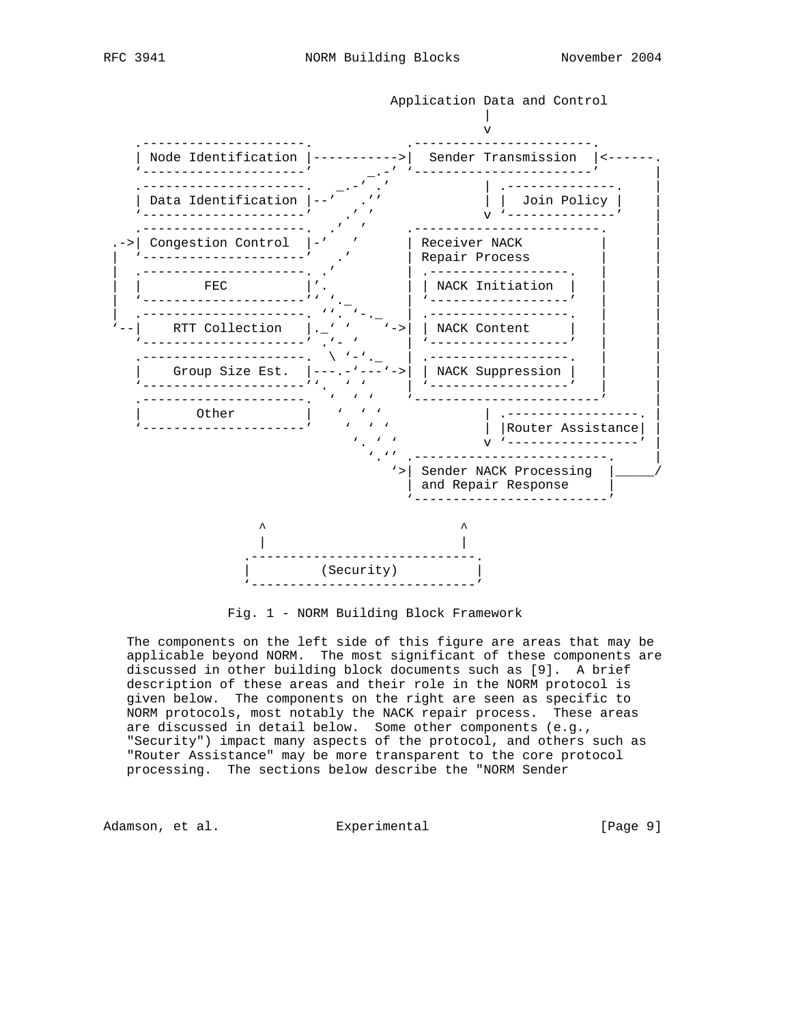

Fig. 1 - NORM Building Block Framework

 The components on the left side of this figure are areas that may be applicable beyond NORM. The most significant of these components are discussed in other building block documents such as [9]. A brief description of these areas and their role in the NORM protocol is given below. The components on the right are seen as specific to NORM protocols, most notably the NACK repair process. These areas are discussed in detail below. Some other components (e.g., "Security") impact many aspects of the protocol, and others such as "Router Assistance" may be more transparent to the core protocol processing. The sections below describe the "NORM Sender

Adamson, et al. Experimental external [Page 9]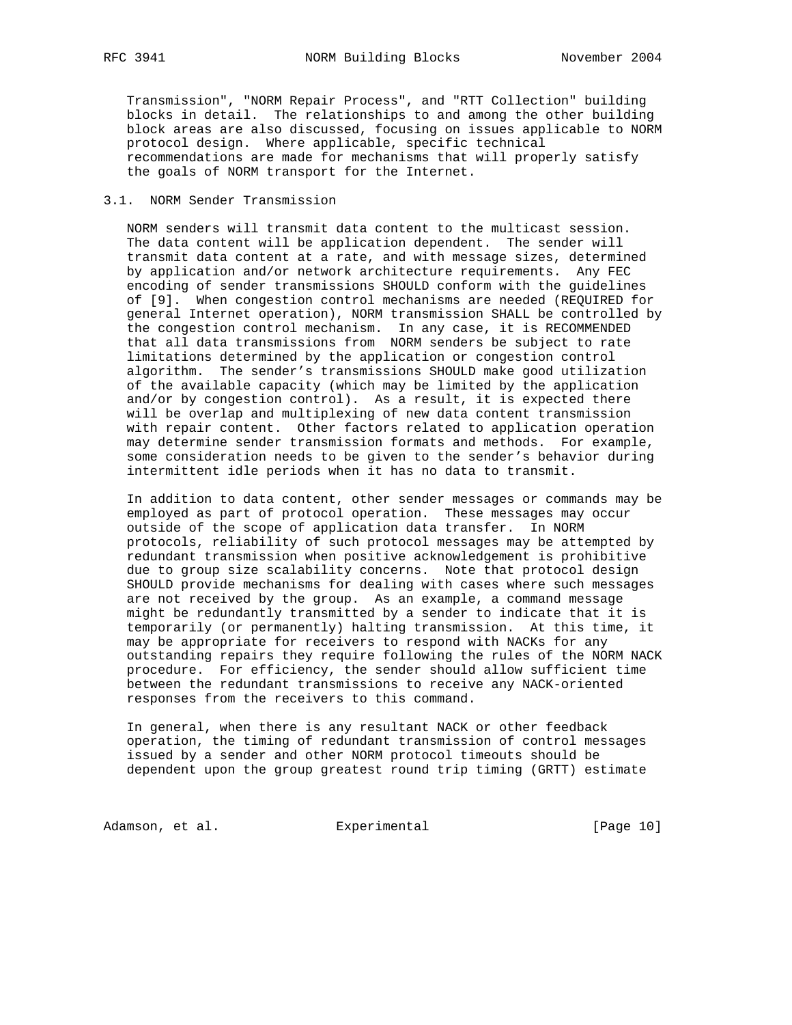Transmission", "NORM Repair Process", and "RTT Collection" building blocks in detail. The relationships to and among the other building block areas are also discussed, focusing on issues applicable to NORM protocol design. Where applicable, specific technical recommendations are made for mechanisms that will properly satisfy the goals of NORM transport for the Internet.

### 3.1. NORM Sender Transmission

 NORM senders will transmit data content to the multicast session. The data content will be application dependent. The sender will transmit data content at a rate, and with message sizes, determined by application and/or network architecture requirements. Any FEC encoding of sender transmissions SHOULD conform with the guidelines of [9]. When congestion control mechanisms are needed (REQUIRED for general Internet operation), NORM transmission SHALL be controlled by the congestion control mechanism. In any case, it is RECOMMENDED that all data transmissions from NORM senders be subject to rate limitations determined by the application or congestion control algorithm. The sender's transmissions SHOULD make good utilization of the available capacity (which may be limited by the application and/or by congestion control). As a result, it is expected there will be overlap and multiplexing of new data content transmission with repair content. Other factors related to application operation may determine sender transmission formats and methods. For example, some consideration needs to be given to the sender's behavior during intermittent idle periods when it has no data to transmit.

 In addition to data content, other sender messages or commands may be employed as part of protocol operation. These messages may occur outside of the scope of application data transfer. In NORM protocols, reliability of such protocol messages may be attempted by redundant transmission when positive acknowledgement is prohibitive due to group size scalability concerns. Note that protocol design SHOULD provide mechanisms for dealing with cases where such messages are not received by the group. As an example, a command message might be redundantly transmitted by a sender to indicate that it is temporarily (or permanently) halting transmission. At this time, it may be appropriate for receivers to respond with NACKs for any outstanding repairs they require following the rules of the NORM NACK procedure. For efficiency, the sender should allow sufficient time between the redundant transmissions to receive any NACK-oriented responses from the receivers to this command.

 In general, when there is any resultant NACK or other feedback operation, the timing of redundant transmission of control messages issued by a sender and other NORM protocol timeouts should be dependent upon the group greatest round trip timing (GRTT) estimate

Adamson, et al. Experimental [Page 10]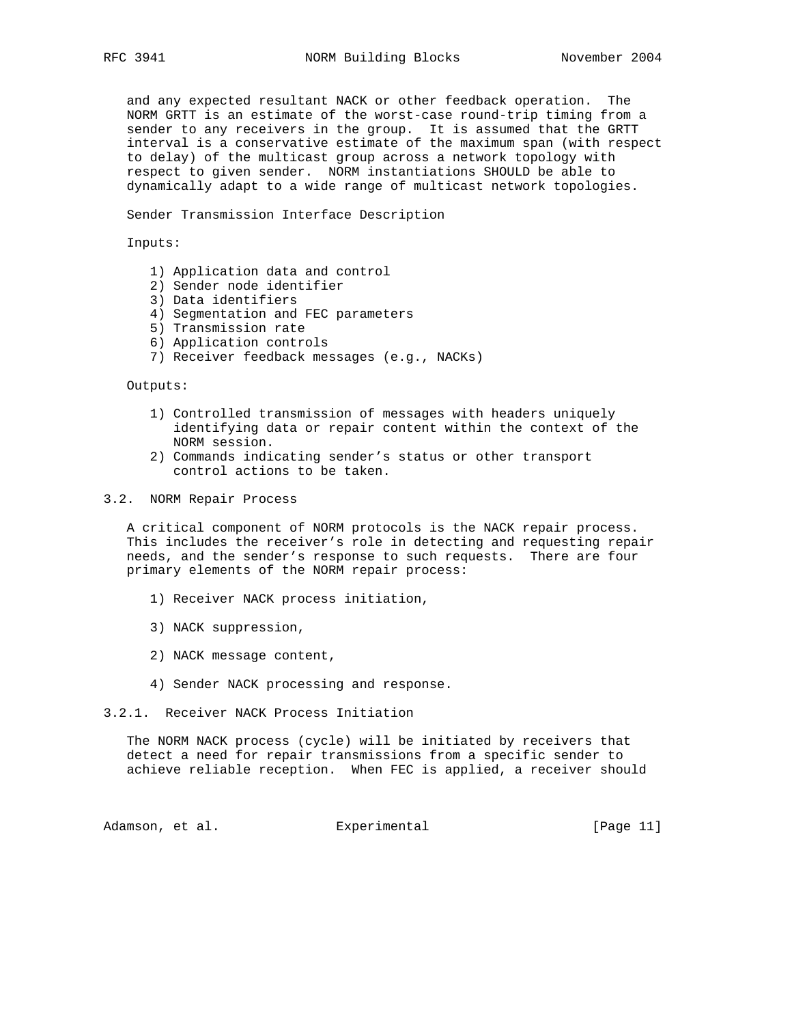and any expected resultant NACK or other feedback operation. The NORM GRTT is an estimate of the worst-case round-trip timing from a sender to any receivers in the group. It is assumed that the GRTT interval is a conservative estimate of the maximum span (with respect to delay) of the multicast group across a network topology with respect to given sender. NORM instantiations SHOULD be able to dynamically adapt to a wide range of multicast network topologies.

Sender Transmission Interface Description

Inputs:

- 1) Application data and control
- 2) Sender node identifier
- 3) Data identifiers
- 4) Segmentation and FEC parameters
- 5) Transmission rate
- 6) Application controls
- 7) Receiver feedback messages (e.g., NACKs)

Outputs:

- 1) Controlled transmission of messages with headers uniquely identifying data or repair content within the context of the NORM session.
- 2) Commands indicating sender's status or other transport control actions to be taken.

3.2. NORM Repair Process

 A critical component of NORM protocols is the NACK repair process. This includes the receiver's role in detecting and requesting repair needs, and the sender's response to such requests. There are four primary elements of the NORM repair process:

- 1) Receiver NACK process initiation,
- 3) NACK suppression,
- 2) NACK message content,
- 4) Sender NACK processing and response.
- 3.2.1. Receiver NACK Process Initiation

 The NORM NACK process (cycle) will be initiated by receivers that detect a need for repair transmissions from a specific sender to achieve reliable reception. When FEC is applied, a receiver should

Adamson, et al. Experimental [Page 11]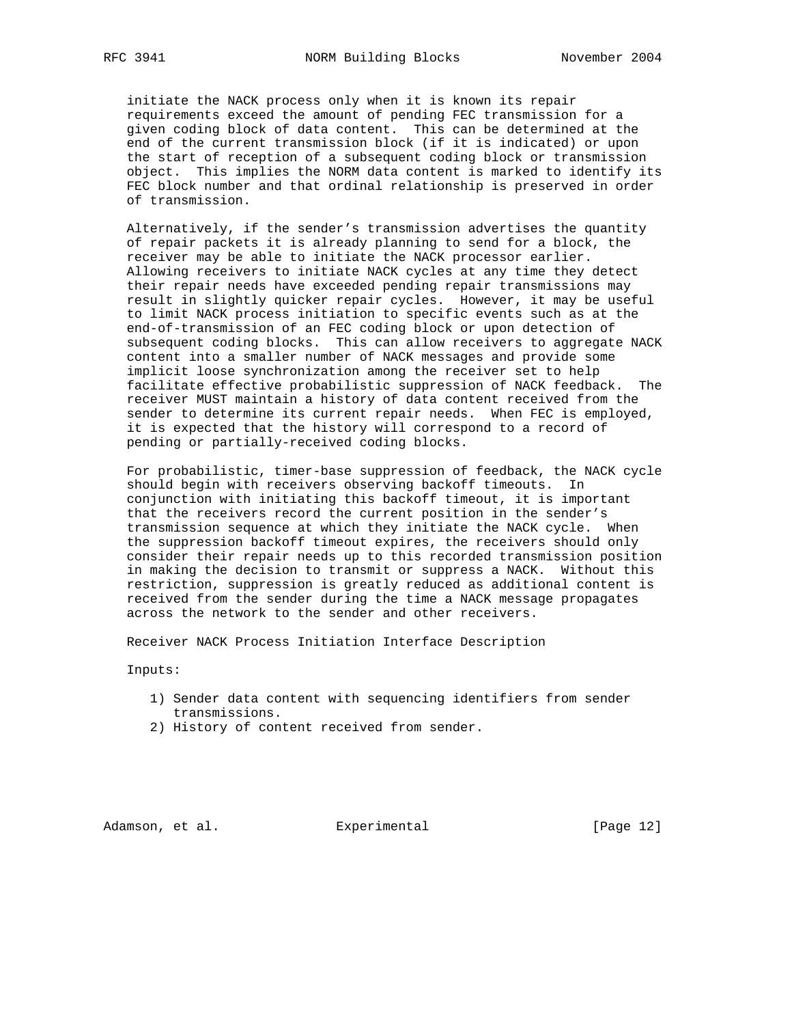initiate the NACK process only when it is known its repair requirements exceed the amount of pending FEC transmission for a given coding block of data content. This can be determined at the end of the current transmission block (if it is indicated) or upon the start of reception of a subsequent coding block or transmission object. This implies the NORM data content is marked to identify its FEC block number and that ordinal relationship is preserved in order of transmission.

 Alternatively, if the sender's transmission advertises the quantity of repair packets it is already planning to send for a block, the receiver may be able to initiate the NACK processor earlier. Allowing receivers to initiate NACK cycles at any time they detect their repair needs have exceeded pending repair transmissions may result in slightly quicker repair cycles. However, it may be useful to limit NACK process initiation to specific events such as at the end-of-transmission of an FEC coding block or upon detection of subsequent coding blocks. This can allow receivers to aggregate NACK content into a smaller number of NACK messages and provide some implicit loose synchronization among the receiver set to help facilitate effective probabilistic suppression of NACK feedback. The receiver MUST maintain a history of data content received from the sender to determine its current repair needs. When FEC is employed, it is expected that the history will correspond to a record of pending or partially-received coding blocks.

 For probabilistic, timer-base suppression of feedback, the NACK cycle should begin with receivers observing backoff timeouts. In conjunction with initiating this backoff timeout, it is important that the receivers record the current position in the sender's transmission sequence at which they initiate the NACK cycle. When the suppression backoff timeout expires, the receivers should only consider their repair needs up to this recorded transmission position in making the decision to transmit or suppress a NACK. Without this restriction, suppression is greatly reduced as additional content is received from the sender during the time a NACK message propagates across the network to the sender and other receivers.

Receiver NACK Process Initiation Interface Description

Inputs:

- 1) Sender data content with sequencing identifiers from sender transmissions.
- 2) History of content received from sender.

Adamson, et al. Experimental [Page 12]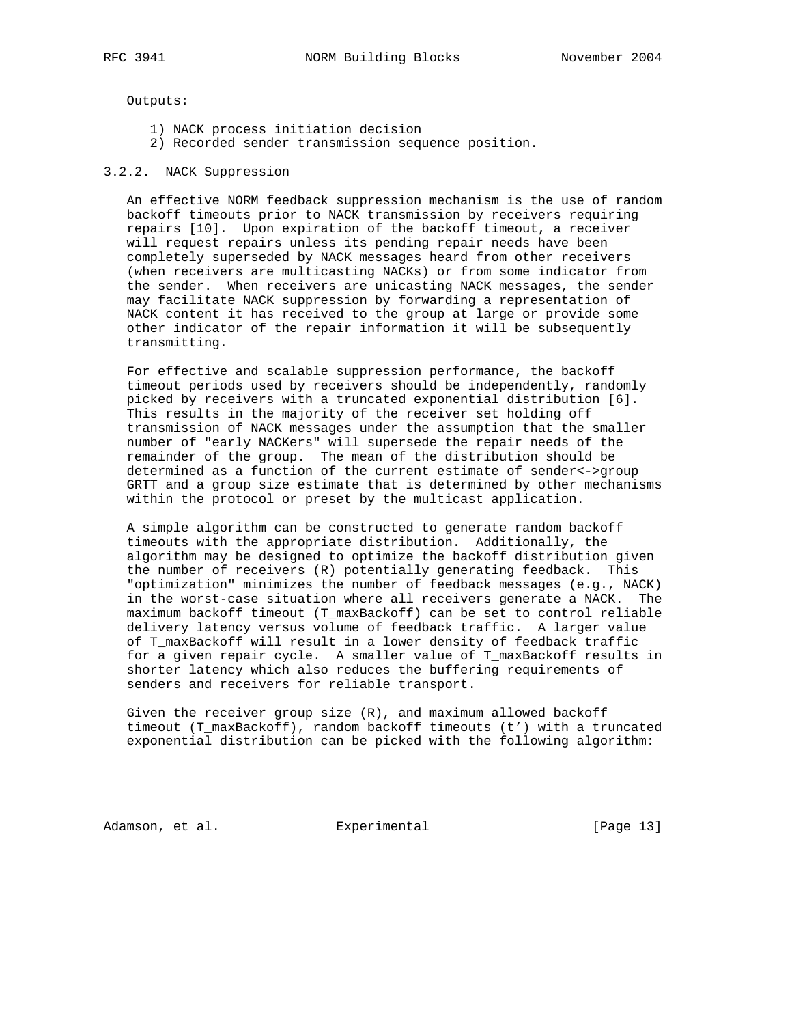Outputs:

- 1) NACK process initiation decision
- 2) Recorded sender transmission sequence position.

### 3.2.2. NACK Suppression

 An effective NORM feedback suppression mechanism is the use of random backoff timeouts prior to NACK transmission by receivers requiring repairs [10]. Upon expiration of the backoff timeout, a receiver will request repairs unless its pending repair needs have been completely superseded by NACK messages heard from other receivers (when receivers are multicasting NACKs) or from some indicator from the sender. When receivers are unicasting NACK messages, the sender may facilitate NACK suppression by forwarding a representation of NACK content it has received to the group at large or provide some other indicator of the repair information it will be subsequently transmitting.

 For effective and scalable suppression performance, the backoff timeout periods used by receivers should be independently, randomly picked by receivers with a truncated exponential distribution [6]. This results in the majority of the receiver set holding off transmission of NACK messages under the assumption that the smaller number of "early NACKers" will supersede the repair needs of the remainder of the group. The mean of the distribution should be determined as a function of the current estimate of sender<->group GRTT and a group size estimate that is determined by other mechanisms within the protocol or preset by the multicast application.

 A simple algorithm can be constructed to generate random backoff timeouts with the appropriate distribution. Additionally, the algorithm may be designed to optimize the backoff distribution given the number of receivers (R) potentially generating feedback. This "optimization" minimizes the number of feedback messages (e.g., NACK) in the worst-case situation where all receivers generate a NACK. The maximum backoff timeout (T\_maxBackoff) can be set to control reliable delivery latency versus volume of feedback traffic. A larger value of T\_maxBackoff will result in a lower density of feedback traffic for a given repair cycle. A smaller value of T\_maxBackoff results in shorter latency which also reduces the buffering requirements of senders and receivers for reliable transport.

Given the receiver group size  $(R)$ , and maximum allowed backoff timeout (T\_maxBackoff), random backoff timeouts (t') with a truncated exponential distribution can be picked with the following algorithm:

Adamson, et al. Experimental [Page 13]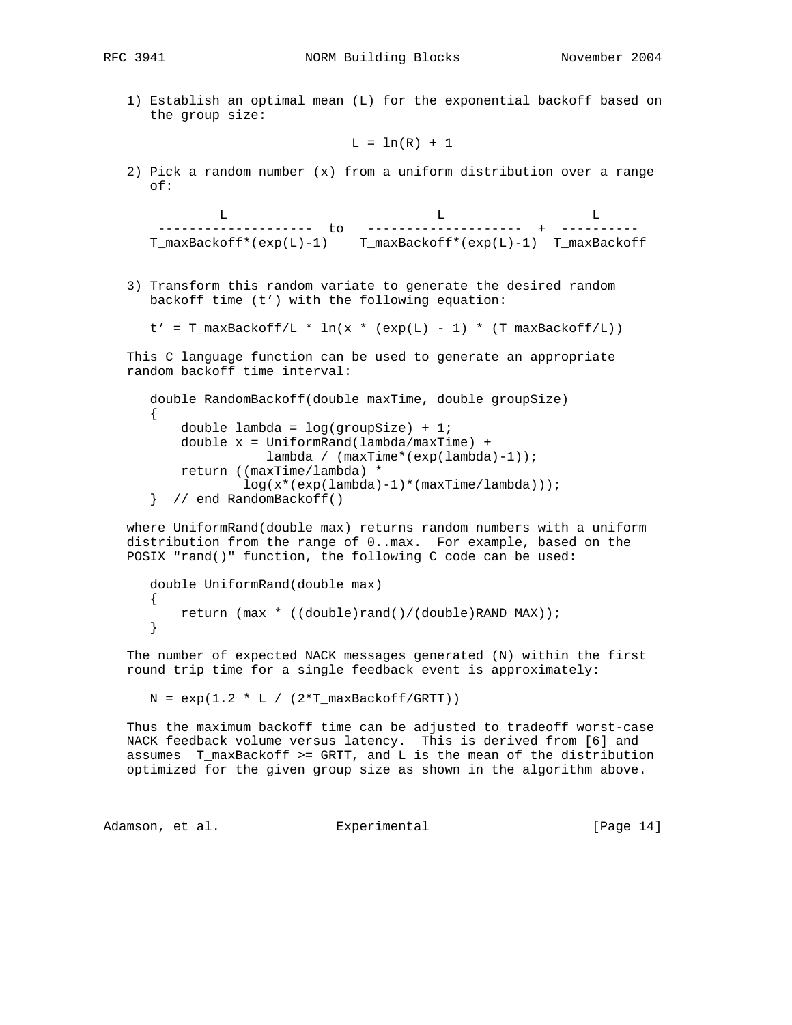RFC 3941 NORM Building Blocks November 2004

 1) Establish an optimal mean (L) for the exponential backoff based on the group size:

 $L = ln(R) + 1$ 

 2) Pick a random number (x) from a uniform distribution over a range of:

 L L L -------------------- to -------------------- + ---------- T\_maxBackoff\*(exp(L)-1) T\_maxBackoff\*(exp(L)-1) T\_maxBackoff

 3) Transform this random variate to generate the desired random backoff time (t') with the following equation:

 $t' = T_{maxBackDeff/L} * ln(x * (exp(L) - 1) * (T_{maxBackOff/L}))$ 

 This C language function can be used to generate an appropriate random backoff time interval:

```
 double RandomBackoff(double maxTime, double groupSize)
\left\{ \right. double lambda = log(groupSize) + 1;
     double x = UniformRand(lambda/maxTime) +
                 lambda / (maxTime*(exp(lambda)-1));
     return ((maxTime/lambda) *
             log(x*(exp(lambda)-1)*(maxTime/lambda)));
 } // end RandomBackoff()
```
 where UniformRand(double max) returns random numbers with a uniform distribution from the range of 0..max. For example, based on the POSIX "rand()" function, the following C code can be used:

```
 double UniformRand(double max)
 {
     return (max * ((double)rand()/(double)RAND_MAX));
 }
```
 The number of expected NACK messages generated (N) within the first round trip time for a single feedback event is approximately:

 $N = exp(1.2 * L / (2 * T_maxBackoff/GRTT))$ 

 Thus the maximum backoff time can be adjusted to tradeoff worst-case NACK feedback volume versus latency. This is derived from [6] and assumes T\_maxBackoff >= GRTT, and L is the mean of the distribution optimized for the given group size as shown in the algorithm above.

Adamson, et al. experimental contract [Page 14]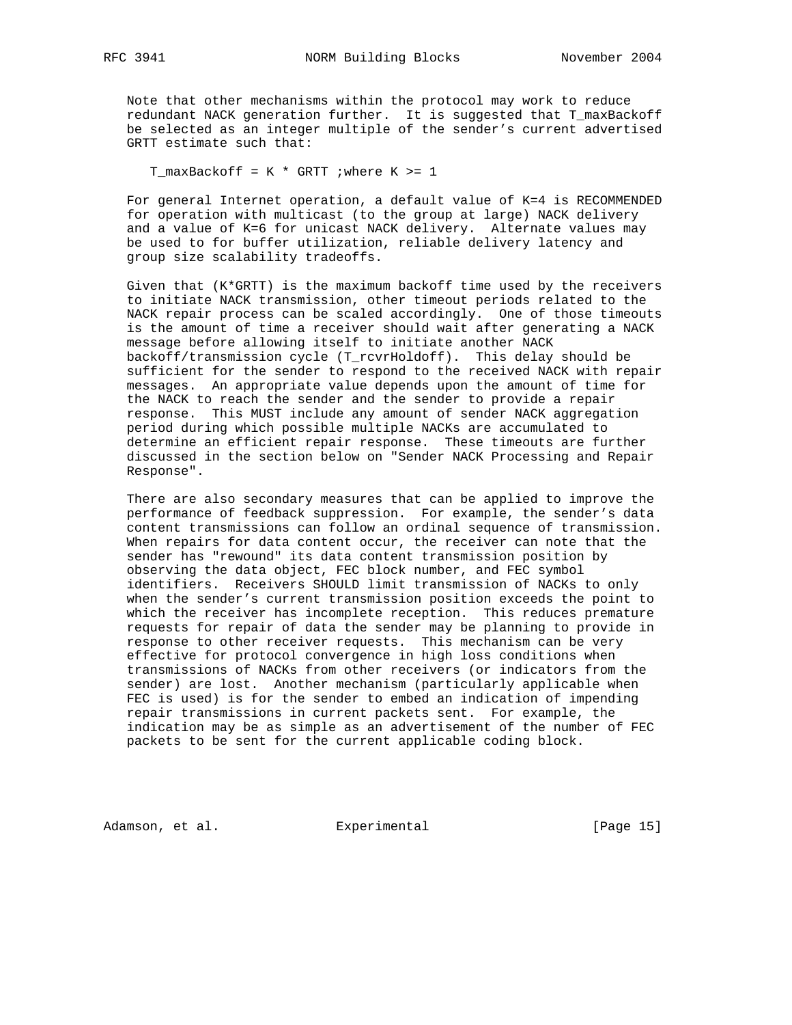Note that other mechanisms within the protocol may work to reduce redundant NACK generation further. It is suggested that T\_maxBackoff be selected as an integer multiple of the sender's current advertised GRTT estimate such that:

T\_maxBackoff =  $K * GRTT$  ; where  $K > = 1$ 

 For general Internet operation, a default value of K=4 is RECOMMENDED for operation with multicast (to the group at large) NACK delivery and a value of K=6 for unicast NACK delivery. Alternate values may be used to for buffer utilization, reliable delivery latency and group size scalability tradeoffs.

 Given that (K\*GRTT) is the maximum backoff time used by the receivers to initiate NACK transmission, other timeout periods related to the NACK repair process can be scaled accordingly. One of those timeouts is the amount of time a receiver should wait after generating a NACK message before allowing itself to initiate another NACK backoff/transmission cycle (T\_rcvrHoldoff). This delay should be sufficient for the sender to respond to the received NACK with repair messages. An appropriate value depends upon the amount of time for the NACK to reach the sender and the sender to provide a repair response. This MUST include any amount of sender NACK aggregation period during which possible multiple NACKs are accumulated to determine an efficient repair response. These timeouts are further discussed in the section below on "Sender NACK Processing and Repair Response".

 There are also secondary measures that can be applied to improve the performance of feedback suppression. For example, the sender's data content transmissions can follow an ordinal sequence of transmission. When repairs for data content occur, the receiver can note that the sender has "rewound" its data content transmission position by observing the data object, FEC block number, and FEC symbol identifiers. Receivers SHOULD limit transmission of NACKs to only when the sender's current transmission position exceeds the point to which the receiver has incomplete reception. This reduces premature requests for repair of data the sender may be planning to provide in response to other receiver requests. This mechanism can be very effective for protocol convergence in high loss conditions when transmissions of NACKs from other receivers (or indicators from the sender) are lost. Another mechanism (particularly applicable when FEC is used) is for the sender to embed an indication of impending repair transmissions in current packets sent. For example, the indication may be as simple as an advertisement of the number of FEC packets to be sent for the current applicable coding block.

Adamson, et al. Experimental [Page 15]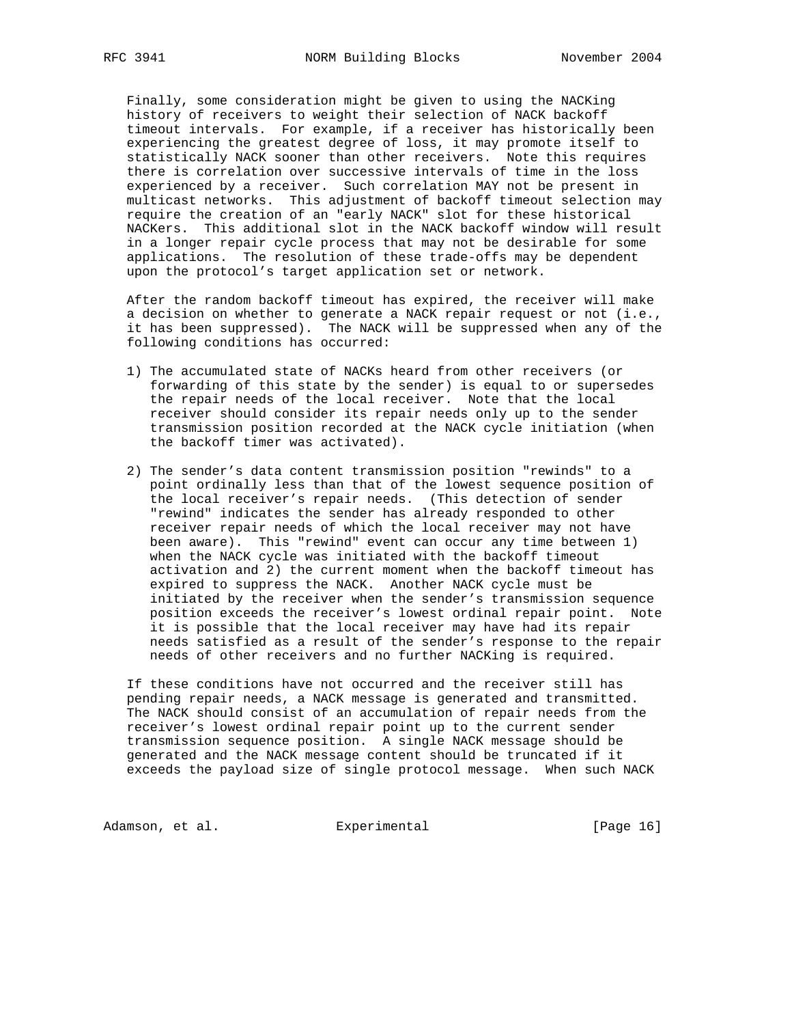Finally, some consideration might be given to using the NACKing history of receivers to weight their selection of NACK backoff timeout intervals. For example, if a receiver has historically been experiencing the greatest degree of loss, it may promote itself to statistically NACK sooner than other receivers. Note this requires there is correlation over successive intervals of time in the loss experienced by a receiver. Such correlation MAY not be present in multicast networks. This adjustment of backoff timeout selection may require the creation of an "early NACK" slot for these historical NACKers. This additional slot in the NACK backoff window will result in a longer repair cycle process that may not be desirable for some applications. The resolution of these trade-offs may be dependent upon the protocol's target application set or network.

 After the random backoff timeout has expired, the receiver will make a decision on whether to generate a NACK repair request or not (i.e., it has been suppressed). The NACK will be suppressed when any of the following conditions has occurred:

- 1) The accumulated state of NACKs heard from other receivers (or forwarding of this state by the sender) is equal to or supersedes the repair needs of the local receiver. Note that the local receiver should consider its repair needs only up to the sender transmission position recorded at the NACK cycle initiation (when the backoff timer was activated).
- 2) The sender's data content transmission position "rewinds" to a point ordinally less than that of the lowest sequence position of the local receiver's repair needs. (This detection of sender "rewind" indicates the sender has already responded to other receiver repair needs of which the local receiver may not have been aware). This "rewind" event can occur any time between 1) when the NACK cycle was initiated with the backoff timeout activation and 2) the current moment when the backoff timeout has expired to suppress the NACK. Another NACK cycle must be initiated by the receiver when the sender's transmission sequence position exceeds the receiver's lowest ordinal repair point. Note it is possible that the local receiver may have had its repair needs satisfied as a result of the sender's response to the repair needs of other receivers and no further NACKing is required.

 If these conditions have not occurred and the receiver still has pending repair needs, a NACK message is generated and transmitted. The NACK should consist of an accumulation of repair needs from the receiver's lowest ordinal repair point up to the current sender transmission sequence position. A single NACK message should be generated and the NACK message content should be truncated if it exceeds the payload size of single protocol message. When such NACK

Adamson, et al. Experimental [Page 16]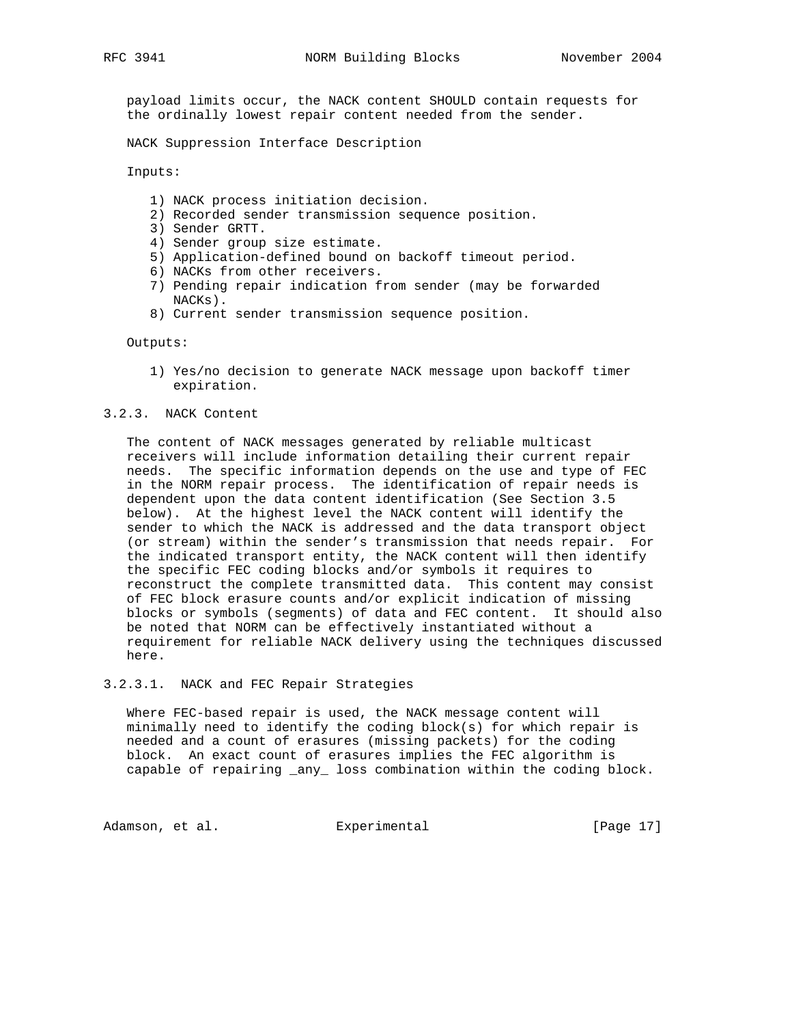payload limits occur, the NACK content SHOULD contain requests for the ordinally lowest repair content needed from the sender.

NACK Suppression Interface Description

Inputs:

- 1) NACK process initiation decision.
- 2) Recorded sender transmission sequence position.
- 3) Sender GRTT.
- 4) Sender group size estimate.
- 5) Application-defined bound on backoff timeout period.
- 6) NACKs from other receivers.
- 7) Pending repair indication from sender (may be forwarded NACKs).
- 8) Current sender transmission sequence position.

Outputs:

 1) Yes/no decision to generate NACK message upon backoff timer expiration.

3.2.3. NACK Content

 The content of NACK messages generated by reliable multicast receivers will include information detailing their current repair needs. The specific information depends on the use and type of FEC in the NORM repair process. The identification of repair needs is dependent upon the data content identification (See Section 3.5 below). At the highest level the NACK content will identify the sender to which the NACK is addressed and the data transport object (or stream) within the sender's transmission that needs repair. For the indicated transport entity, the NACK content will then identify the specific FEC coding blocks and/or symbols it requires to reconstruct the complete transmitted data. This content may consist of FEC block erasure counts and/or explicit indication of missing blocks or symbols (segments) of data and FEC content. It should also be noted that NORM can be effectively instantiated without a requirement for reliable NACK delivery using the techniques discussed here.

3.2.3.1. NACK and FEC Repair Strategies

 Where FEC-based repair is used, the NACK message content will minimally need to identify the coding block(s) for which repair is needed and a count of erasures (missing packets) for the coding block. An exact count of erasures implies the FEC algorithm is capable of repairing \_any\_ loss combination within the coding block.

Adamson, et al. Experimental [Page 17]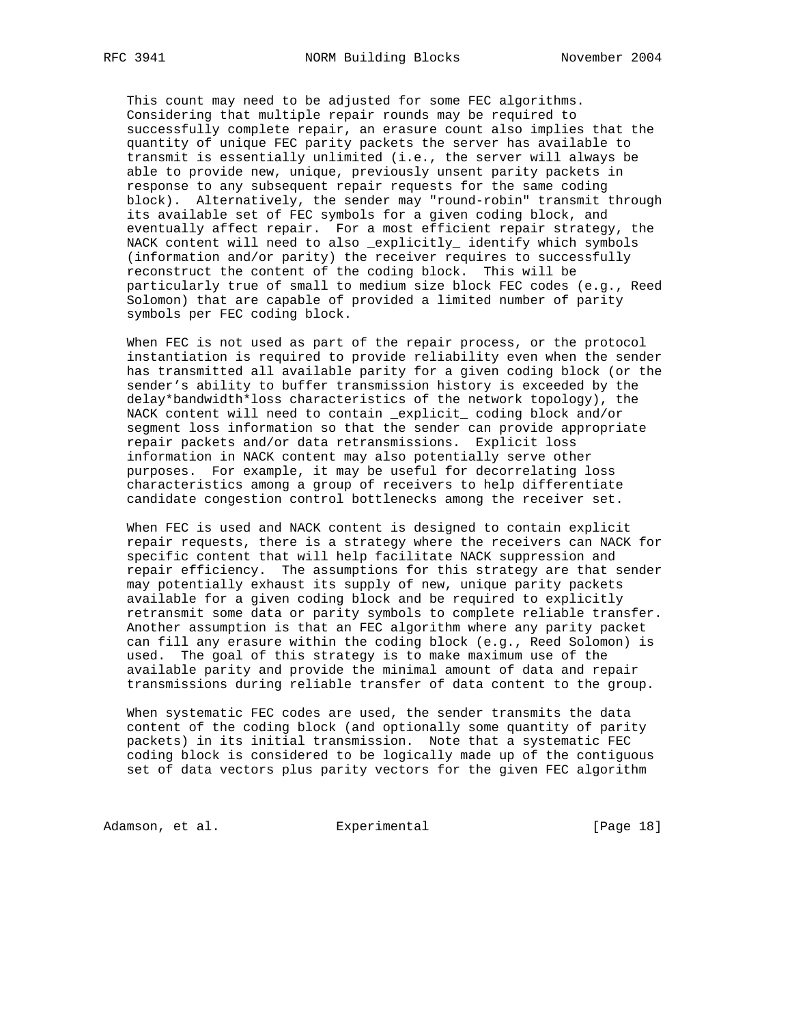This count may need to be adjusted for some FEC algorithms. Considering that multiple repair rounds may be required to successfully complete repair, an erasure count also implies that the quantity of unique FEC parity packets the server has available to transmit is essentially unlimited (i.e., the server will always be able to provide new, unique, previously unsent parity packets in response to any subsequent repair requests for the same coding block). Alternatively, the sender may "round-robin" transmit through its available set of FEC symbols for a given coding block, and eventually affect repair. For a most efficient repair strategy, the NACK content will need to also \_explicitly\_ identify which symbols (information and/or parity) the receiver requires to successfully reconstruct the content of the coding block. This will be particularly true of small to medium size block FEC codes (e.g., Reed Solomon) that are capable of provided a limited number of parity symbols per FEC coding block.

 When FEC is not used as part of the repair process, or the protocol instantiation is required to provide reliability even when the sender has transmitted all available parity for a given coding block (or the sender's ability to buffer transmission history is exceeded by the delay\*bandwidth\*loss characteristics of the network topology), the NACK content will need to contain \_explicit\_ coding block and/or segment loss information so that the sender can provide appropriate repair packets and/or data retransmissions. Explicit loss information in NACK content may also potentially serve other purposes. For example, it may be useful for decorrelating loss characteristics among a group of receivers to help differentiate candidate congestion control bottlenecks among the receiver set.

 When FEC is used and NACK content is designed to contain explicit repair requests, there is a strategy where the receivers can NACK for specific content that will help facilitate NACK suppression and repair efficiency. The assumptions for this strategy are that sender may potentially exhaust its supply of new, unique parity packets available for a given coding block and be required to explicitly retransmit some data or parity symbols to complete reliable transfer. Another assumption is that an FEC algorithm where any parity packet can fill any erasure within the coding block (e.g., Reed Solomon) is used. The goal of this strategy is to make maximum use of the available parity and provide the minimal amount of data and repair transmissions during reliable transfer of data content to the group.

 When systematic FEC codes are used, the sender transmits the data content of the coding block (and optionally some quantity of parity packets) in its initial transmission. Note that a systematic FEC coding block is considered to be logically made up of the contiguous set of data vectors plus parity vectors for the given FEC algorithm

Adamson, et al. **Experimental** [Page 18]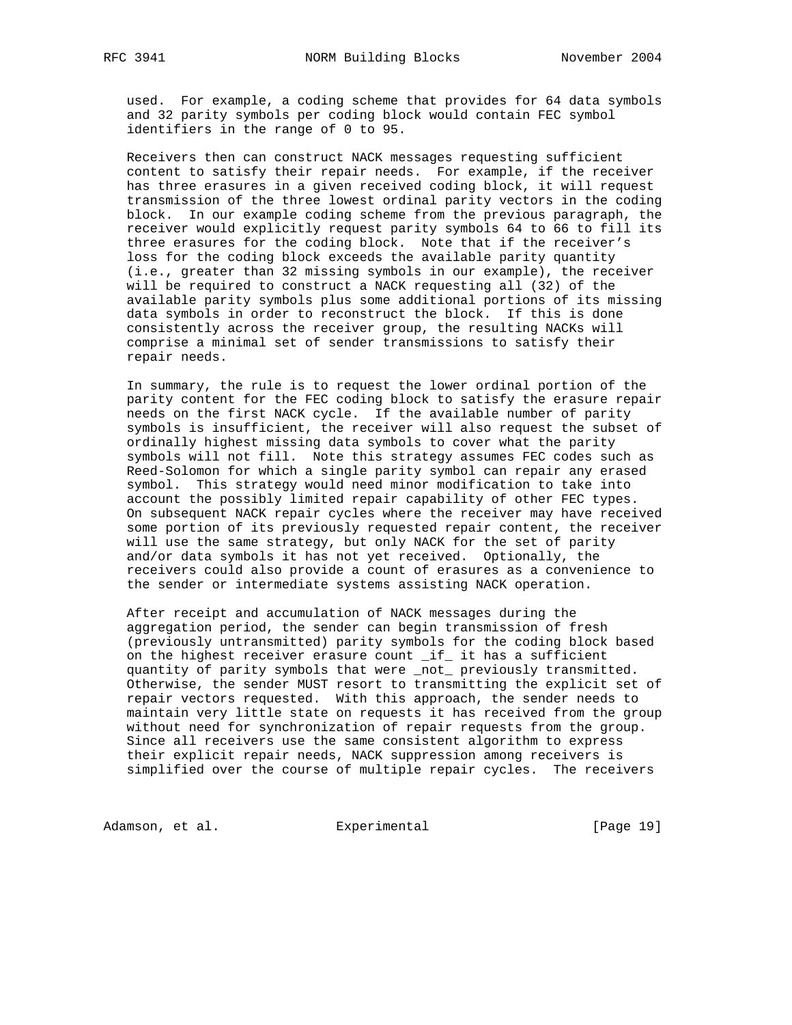used. For example, a coding scheme that provides for 64 data symbols and 32 parity symbols per coding block would contain FEC symbol identifiers in the range of 0 to 95.

 Receivers then can construct NACK messages requesting sufficient content to satisfy their repair needs. For example, if the receiver has three erasures in a given received coding block, it will request transmission of the three lowest ordinal parity vectors in the coding block. In our example coding scheme from the previous paragraph, the receiver would explicitly request parity symbols 64 to 66 to fill its three erasures for the coding block. Note that if the receiver's loss for the coding block exceeds the available parity quantity (i.e., greater than 32 missing symbols in our example), the receiver will be required to construct a NACK requesting all (32) of the available parity symbols plus some additional portions of its missing data symbols in order to reconstruct the block. If this is done consistently across the receiver group, the resulting NACKs will comprise a minimal set of sender transmissions to satisfy their repair needs.

 In summary, the rule is to request the lower ordinal portion of the parity content for the FEC coding block to satisfy the erasure repair needs on the first NACK cycle. If the available number of parity symbols is insufficient, the receiver will also request the subset of ordinally highest missing data symbols to cover what the parity symbols will not fill. Note this strategy assumes FEC codes such as Reed-Solomon for which a single parity symbol can repair any erased symbol. This strategy would need minor modification to take into account the possibly limited repair capability of other FEC types. On subsequent NACK repair cycles where the receiver may have received some portion of its previously requested repair content, the receiver will use the same strategy, but only NACK for the set of parity and/or data symbols it has not yet received. Optionally, the receivers could also provide a count of erasures as a convenience to the sender or intermediate systems assisting NACK operation.

 After receipt and accumulation of NACK messages during the aggregation period, the sender can begin transmission of fresh (previously untransmitted) parity symbols for the coding block based on the highest receiver erasure count \_if\_ it has a sufficient quantity of parity symbols that were \_not\_ previously transmitted. Otherwise, the sender MUST resort to transmitting the explicit set of repair vectors requested. With this approach, the sender needs to maintain very little state on requests it has received from the group without need for synchronization of repair requests from the group. Since all receivers use the same consistent algorithm to express their explicit repair needs, NACK suppression among receivers is simplified over the course of multiple repair cycles. The receivers

Adamson, et al. **Experimental** [Page 19]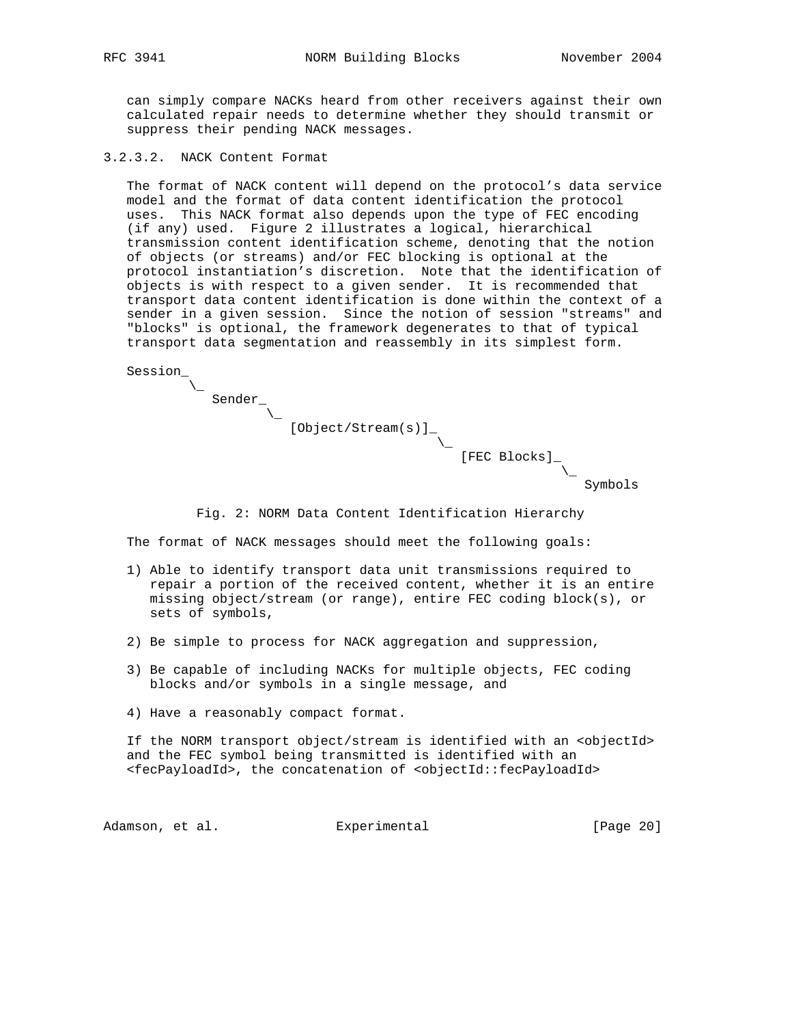can simply compare NACKs heard from other receivers against their own calculated repair needs to determine whether they should transmit or suppress their pending NACK messages.

3.2.3.2. NACK Content Format

Sender\_

 $\sqrt{ }$ 

 The format of NACK content will depend on the protocol's data service model and the format of data content identification the protocol uses. This NACK format also depends upon the type of FEC encoding (if any) used. Figure 2 illustrates a logical, hierarchical transmission content identification scheme, denoting that the notion of objects (or streams) and/or FEC blocking is optional at the protocol instantiation's discretion. Note that the identification of objects is with respect to a given sender. It is recommended that transport data content identification is done within the context of a sender in a given session. Since the notion of session "streams" and "blocks" is optional, the framework degenerates to that of typical transport data segmentation and reassembly in its simplest form.

 Session\_  $\sqrt{2}$ 

 $\sqrt{2}$ 

[Object/Stream(s)]\_

[FEC Blocks]\_

Symbols

Fig. 2: NORM Data Content Identification Hierarchy

The format of NACK messages should meet the following goals:

 $\overline{\phantom{a}}$ 

- 1) Able to identify transport data unit transmissions required to repair a portion of the received content, whether it is an entire missing object/stream (or range), entire FEC coding block(s), or sets of symbols,
- 2) Be simple to process for NACK aggregation and suppression,
- 3) Be capable of including NACKs for multiple objects, FEC coding blocks and/or symbols in a single message, and
- 4) Have a reasonably compact format.

 If the NORM transport object/stream is identified with an <objectId> and the FEC symbol being transmitted is identified with an <fecPayloadId>, the concatenation of <objectId::fecPayloadId>

Adamson, et al. experimental contract [Page 20]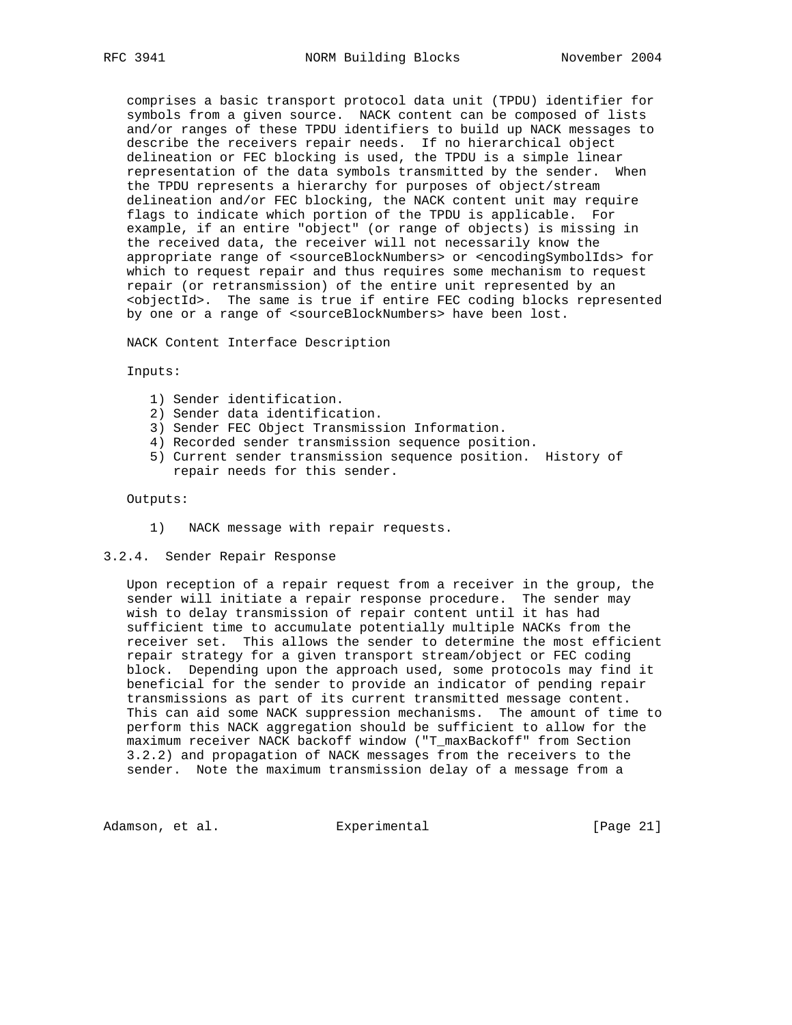comprises a basic transport protocol data unit (TPDU) identifier for symbols from a given source. NACK content can be composed of lists and/or ranges of these TPDU identifiers to build up NACK messages to describe the receivers repair needs. If no hierarchical object delineation or FEC blocking is used, the TPDU is a simple linear representation of the data symbols transmitted by the sender. When the TPDU represents a hierarchy for purposes of object/stream delineation and/or FEC blocking, the NACK content unit may require flags to indicate which portion of the TPDU is applicable. For example, if an entire "object" (or range of objects) is missing in the received data, the receiver will not necessarily know the appropriate range of <sourceBlockNumbers> or <encodingSymbolIds> for which to request repair and thus requires some mechanism to request repair (or retransmission) of the entire unit represented by an <objectId>. The same is true if entire FEC coding blocks represented by one or a range of <sourceBlockNumbers> have been lost.

NACK Content Interface Description

Inputs:

- 1) Sender identification.
- 2) Sender data identification.
- 3) Sender FEC Object Transmission Information.
- 4) Recorded sender transmission sequence position.
- 5) Current sender transmission sequence position. History of repair needs for this sender.

Outputs:

- 1) NACK message with repair requests.
- 3.2.4. Sender Repair Response

 Upon reception of a repair request from a receiver in the group, the sender will initiate a repair response procedure. The sender may wish to delay transmission of repair content until it has had sufficient time to accumulate potentially multiple NACKs from the receiver set. This allows the sender to determine the most efficient repair strategy for a given transport stream/object or FEC coding block. Depending upon the approach used, some protocols may find it beneficial for the sender to provide an indicator of pending repair transmissions as part of its current transmitted message content. This can aid some NACK suppression mechanisms. The amount of time to perform this NACK aggregation should be sufficient to allow for the maximum receiver NACK backoff window ("T\_maxBackoff" from Section 3.2.2) and propagation of NACK messages from the receivers to the sender. Note the maximum transmission delay of a message from a

Adamson, et al. Experimental [Page 21]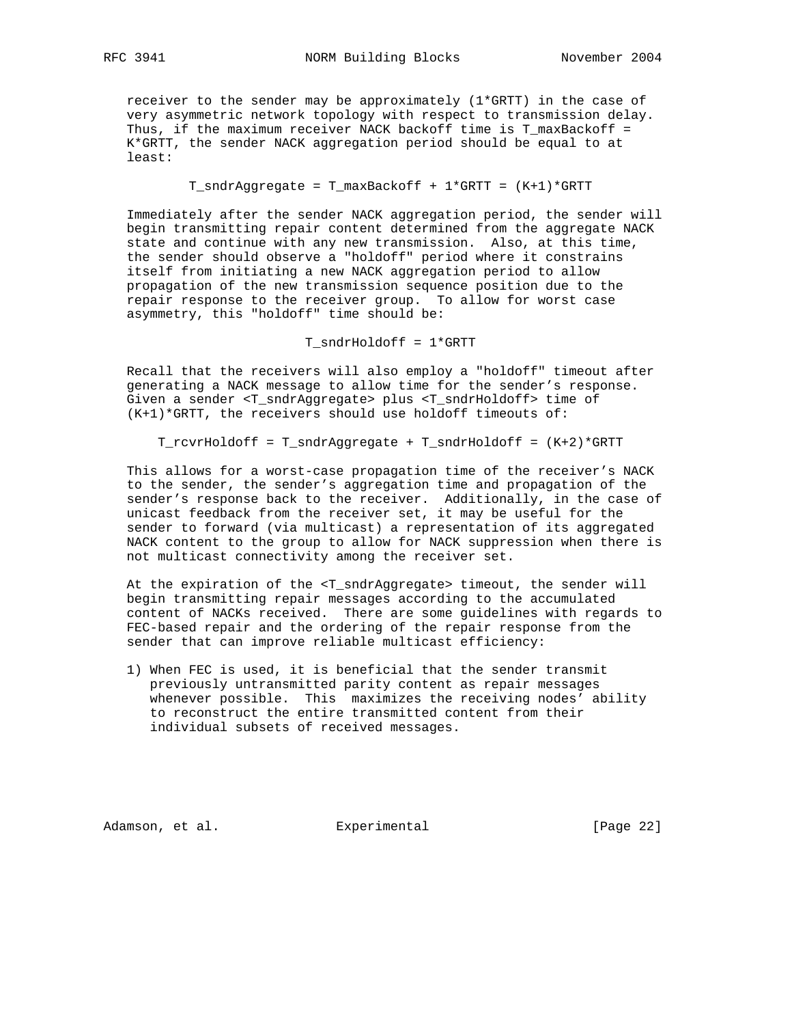receiver to the sender may be approximately (1\*GRTT) in the case of very asymmetric network topology with respect to transmission delay. Thus, if the maximum receiver NACK backoff time is  $T_{maxBackoff}$  = K\*GRTT, the sender NACK aggregation period should be equal to at least:

T\_sndrAggregate = T\_maxBackoff + 1\*GRTT = (K+1)\*GRTT

 Immediately after the sender NACK aggregation period, the sender will begin transmitting repair content determined from the aggregate NACK state and continue with any new transmission. Also, at this time, the sender should observe a "holdoff" period where it constrains itself from initiating a new NACK aggregation period to allow propagation of the new transmission sequence position due to the repair response to the receiver group. To allow for worst case asymmetry, this "holdoff" time should be:

T\_sndrHoldoff = 1\*GRTT

 Recall that the receivers will also employ a "holdoff" timeout after generating a NACK message to allow time for the sender's response. Given a sender <T\_sndrAggregate> plus <T\_sndrHoldoff> time of  $(K+1)*GRTT$ , the receivers should use holdoff timeouts of:

T\_rcvrHoldoff = T\_sndrAggregate + T\_sndrHoldoff = (K+2)\*GRTT

 This allows for a worst-case propagation time of the receiver's NACK to the sender, the sender's aggregation time and propagation of the sender's response back to the receiver. Additionally, in the case of unicast feedback from the receiver set, it may be useful for the sender to forward (via multicast) a representation of its aggregated NACK content to the group to allow for NACK suppression when there is not multicast connectivity among the receiver set.

 At the expiration of the <T\_sndrAggregate> timeout, the sender will begin transmitting repair messages according to the accumulated content of NACKs received. There are some guidelines with regards to FEC-based repair and the ordering of the repair response from the sender that can improve reliable multicast efficiency:

 1) When FEC is used, it is beneficial that the sender transmit previously untransmitted parity content as repair messages whenever possible. This maximizes the receiving nodes' ability to reconstruct the entire transmitted content from their individual subsets of received messages.

Adamson, et al. Experimental [Page 22]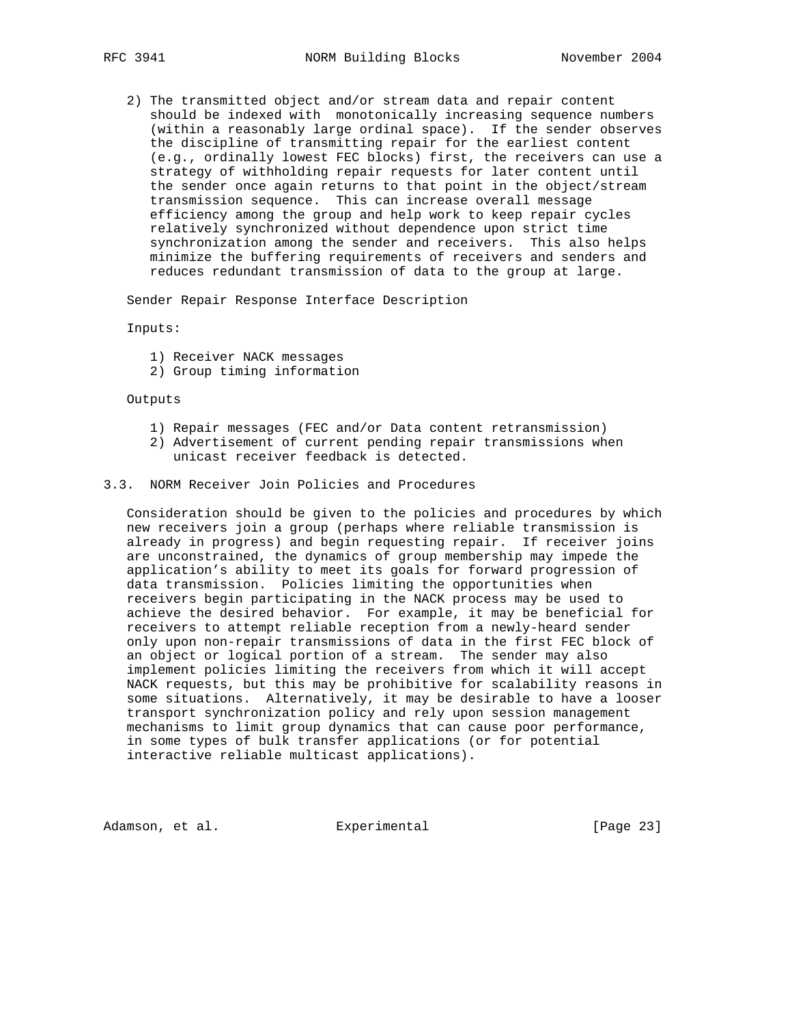2) The transmitted object and/or stream data and repair content should be indexed with monotonically increasing sequence numbers (within a reasonably large ordinal space). If the sender observes the discipline of transmitting repair for the earliest content (e.g., ordinally lowest FEC blocks) first, the receivers can use a strategy of withholding repair requests for later content until the sender once again returns to that point in the object/stream transmission sequence. This can increase overall message efficiency among the group and help work to keep repair cycles relatively synchronized without dependence upon strict time synchronization among the sender and receivers. This also helps minimize the buffering requirements of receivers and senders and reduces redundant transmission of data to the group at large.

Sender Repair Response Interface Description

Inputs:

- 1) Receiver NACK messages
- 2) Group timing information

Outputs

- 1) Repair messages (FEC and/or Data content retransmission)
- 2) Advertisement of current pending repair transmissions when unicast receiver feedback is detected.

# 3.3. NORM Receiver Join Policies and Procedures

 Consideration should be given to the policies and procedures by which new receivers join a group (perhaps where reliable transmission is already in progress) and begin requesting repair. If receiver joins are unconstrained, the dynamics of group membership may impede the application's ability to meet its goals for forward progression of data transmission. Policies limiting the opportunities when receivers begin participating in the NACK process may be used to achieve the desired behavior. For example, it may be beneficial for receivers to attempt reliable reception from a newly-heard sender only upon non-repair transmissions of data in the first FEC block of an object or logical portion of a stream. The sender may also implement policies limiting the receivers from which it will accept NACK requests, but this may be prohibitive for scalability reasons in some situations. Alternatively, it may be desirable to have a looser transport synchronization policy and rely upon session management mechanisms to limit group dynamics that can cause poor performance, in some types of bulk transfer applications (or for potential interactive reliable multicast applications).

Adamson, et al. Experimental [Page 23]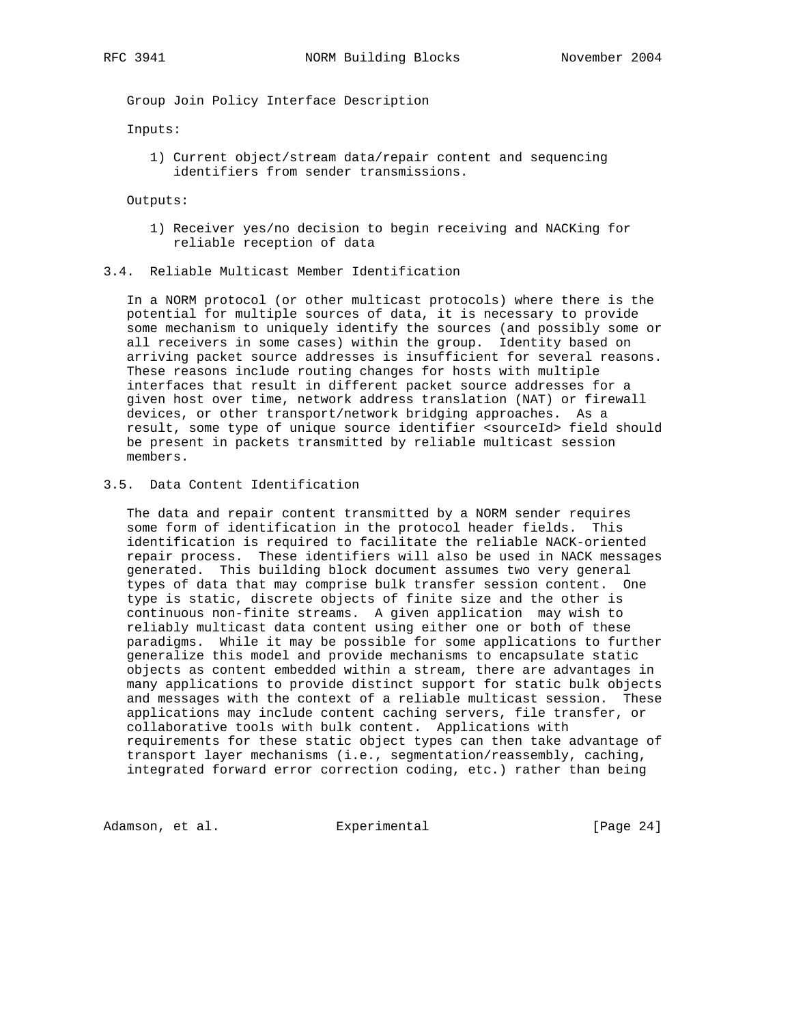Group Join Policy Interface Description

Inputs:

 1) Current object/stream data/repair content and sequencing identifiers from sender transmissions.

Outputs:

- 1) Receiver yes/no decision to begin receiving and NACKing for reliable reception of data
- 3.4. Reliable Multicast Member Identification

 In a NORM protocol (or other multicast protocols) where there is the potential for multiple sources of data, it is necessary to provide some mechanism to uniquely identify the sources (and possibly some or all receivers in some cases) within the group. Identity based on arriving packet source addresses is insufficient for several reasons. These reasons include routing changes for hosts with multiple interfaces that result in different packet source addresses for a given host over time, network address translation (NAT) or firewall devices, or other transport/network bridging approaches. As a result, some type of unique source identifier <sourceId> field should be present in packets transmitted by reliable multicast session members.

3.5. Data Content Identification

 The data and repair content transmitted by a NORM sender requires some form of identification in the protocol header fields. This identification is required to facilitate the reliable NACK-oriented repair process. These identifiers will also be used in NACK messages generated. This building block document assumes two very general types of data that may comprise bulk transfer session content. One type is static, discrete objects of finite size and the other is continuous non-finite streams. A given application may wish to reliably multicast data content using either one or both of these paradigms. While it may be possible for some applications to further generalize this model and provide mechanisms to encapsulate static objects as content embedded within a stream, there are advantages in many applications to provide distinct support for static bulk objects and messages with the context of a reliable multicast session. These applications may include content caching servers, file transfer, or collaborative tools with bulk content. Applications with requirements for these static object types can then take advantage of transport layer mechanisms (i.e., segmentation/reassembly, caching, integrated forward error correction coding, etc.) rather than being

Adamson, et al. **Experimental** (Page 24)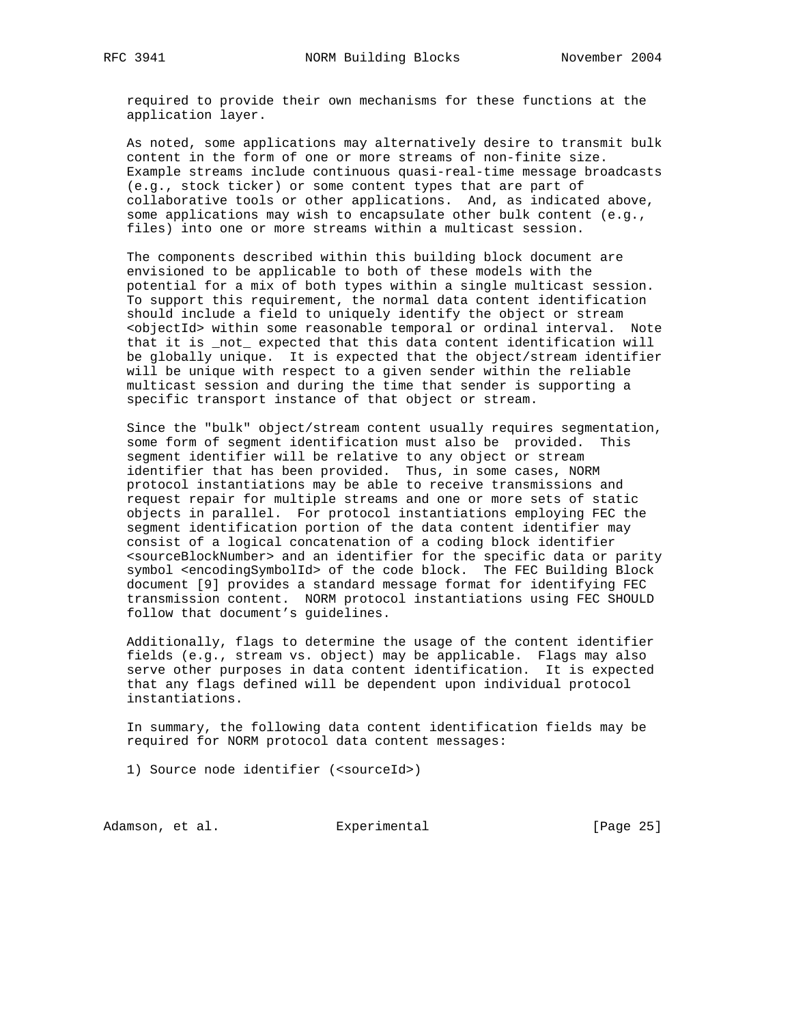required to provide their own mechanisms for these functions at the application layer.

 As noted, some applications may alternatively desire to transmit bulk content in the form of one or more streams of non-finite size. Example streams include continuous quasi-real-time message broadcasts (e.g., stock ticker) or some content types that are part of collaborative tools or other applications. And, as indicated above, some applications may wish to encapsulate other bulk content (e.g., files) into one or more streams within a multicast session.

 The components described within this building block document are envisioned to be applicable to both of these models with the potential for a mix of both types within a single multicast session. To support this requirement, the normal data content identification should include a field to uniquely identify the object or stream <objectId> within some reasonable temporal or ordinal interval. Note that it is \_not\_ expected that this data content identification will be globally unique. It is expected that the object/stream identifier will be unique with respect to a given sender within the reliable multicast session and during the time that sender is supporting a specific transport instance of that object or stream.

 Since the "bulk" object/stream content usually requires segmentation, some form of segment identification must also be provided. This segment identifier will be relative to any object or stream identifier that has been provided. Thus, in some cases, NORM protocol instantiations may be able to receive transmissions and request repair for multiple streams and one or more sets of static objects in parallel. For protocol instantiations employing FEC the segment identification portion of the data content identifier may consist of a logical concatenation of a coding block identifier <sourceBlockNumber> and an identifier for the specific data or parity symbol <encodingSymbolId> of the code block. The FEC Building Block document [9] provides a standard message format for identifying FEC transmission content. NORM protocol instantiations using FEC SHOULD follow that document's guidelines.

 Additionally, flags to determine the usage of the content identifier fields (e.g., stream vs. object) may be applicable. Flags may also serve other purposes in data content identification. It is expected that any flags defined will be dependent upon individual protocol instantiations.

 In summary, the following data content identification fields may be required for NORM protocol data content messages:

1) Source node identifier (<sourceId>)

Adamson, et al. Experimental Formula (Page 25)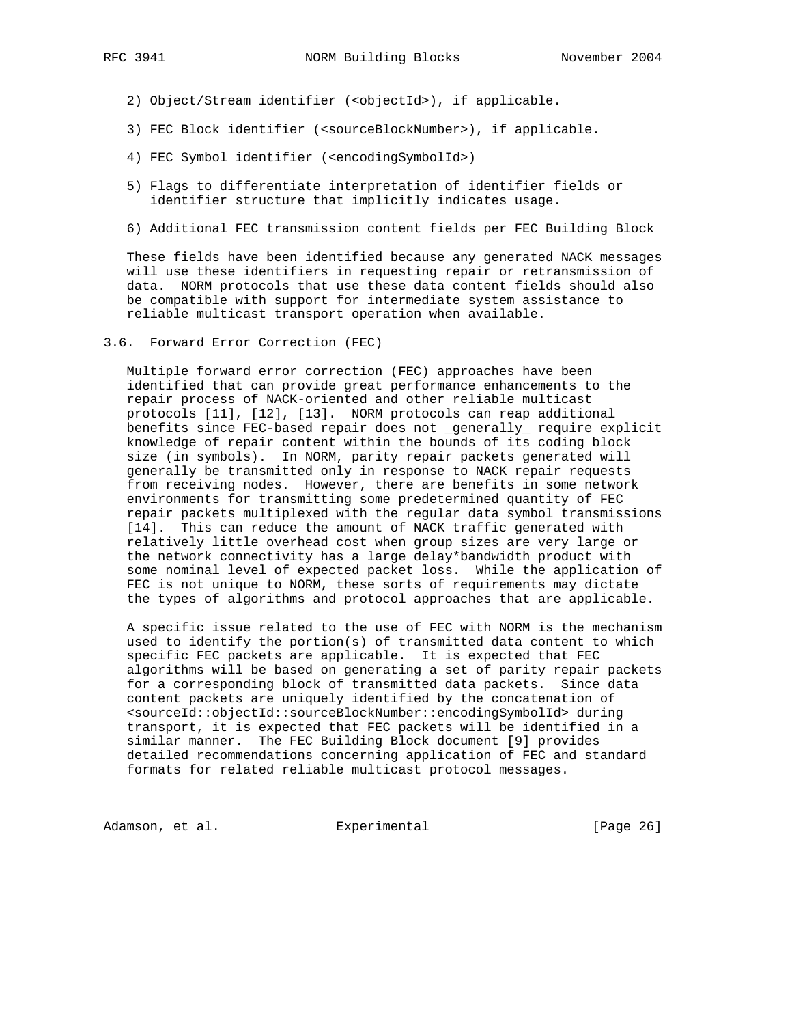- 2) Object/Stream identifier (<objectId>), if applicable.
- 3) FEC Block identifier (<sourceBlockNumber>), if applicable.
- 4) FEC Symbol identifier (<encodingSymbolId>)
- 5) Flags to differentiate interpretation of identifier fields or identifier structure that implicitly indicates usage.
- 6) Additional FEC transmission content fields per FEC Building Block

 These fields have been identified because any generated NACK messages will use these identifiers in requesting repair or retransmission of data. NORM protocols that use these data content fields should also be compatible with support for intermediate system assistance to reliable multicast transport operation when available.

3.6. Forward Error Correction (FEC)

 Multiple forward error correction (FEC) approaches have been identified that can provide great performance enhancements to the repair process of NACK-oriented and other reliable multicast protocols [11], [12], [13]. NORM protocols can reap additional benefits since FEC-based repair does not \_generally\_ require explicit knowledge of repair content within the bounds of its coding block size (in symbols). In NORM, parity repair packets generated will generally be transmitted only in response to NACK repair requests from receiving nodes. However, there are benefits in some network environments for transmitting some predetermined quantity of FEC repair packets multiplexed with the regular data symbol transmissions [14]. This can reduce the amount of NACK traffic generated with relatively little overhead cost when group sizes are very large or the network connectivity has a large delay\*bandwidth product with some nominal level of expected packet loss. While the application of FEC is not unique to NORM, these sorts of requirements may dictate the types of algorithms and protocol approaches that are applicable.

 A specific issue related to the use of FEC with NORM is the mechanism used to identify the portion(s) of transmitted data content to which specific FEC packets are applicable. It is expected that FEC algorithms will be based on generating a set of parity repair packets for a corresponding block of transmitted data packets. Since data content packets are uniquely identified by the concatenation of <sourceId::objectId::sourceBlockNumber::encodingSymbolId> during transport, it is expected that FEC packets will be identified in a similar manner. The FEC Building Block document [9] provides detailed recommendations concerning application of FEC and standard formats for related reliable multicast protocol messages.

Adamson, et al. Experimental [Page 26]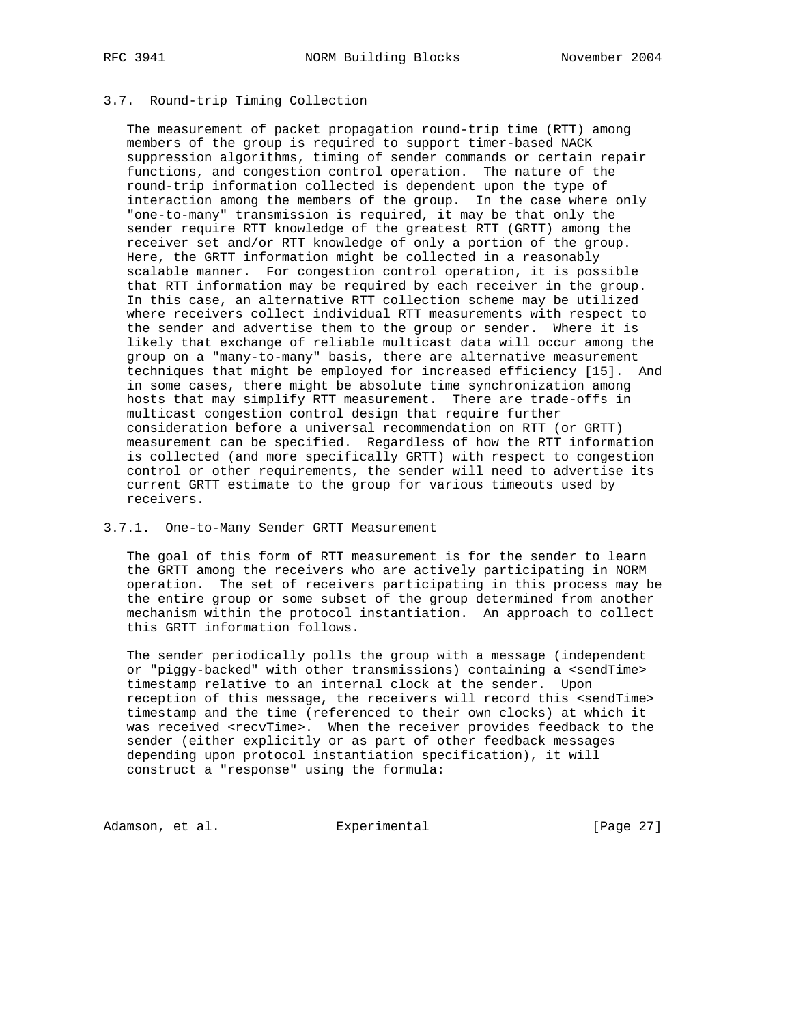# 3.7. Round-trip Timing Collection

 The measurement of packet propagation round-trip time (RTT) among members of the group is required to support timer-based NACK suppression algorithms, timing of sender commands or certain repair functions, and congestion control operation. The nature of the round-trip information collected is dependent upon the type of interaction among the members of the group. In the case where only "one-to-many" transmission is required, it may be that only the sender require RTT knowledge of the greatest RTT (GRTT) among the receiver set and/or RTT knowledge of only a portion of the group. Here, the GRTT information might be collected in a reasonably scalable manner. For congestion control operation, it is possible that RTT information may be required by each receiver in the group. In this case, an alternative RTT collection scheme may be utilized where receivers collect individual RTT measurements with respect to the sender and advertise them to the group or sender. Where it is likely that exchange of reliable multicast data will occur among the group on a "many-to-many" basis, there are alternative measurement techniques that might be employed for increased efficiency [15]. And in some cases, there might be absolute time synchronization among hosts that may simplify RTT measurement. There are trade-offs in multicast congestion control design that require further consideration before a universal recommendation on RTT (or GRTT) measurement can be specified. Regardless of how the RTT information is collected (and more specifically GRTT) with respect to congestion control or other requirements, the sender will need to advertise its current GRTT estimate to the group for various timeouts used by receivers.

#### 3.7.1. One-to-Many Sender GRTT Measurement

 The goal of this form of RTT measurement is for the sender to learn the GRTT among the receivers who are actively participating in NORM operation. The set of receivers participating in this process may be the entire group or some subset of the group determined from another mechanism within the protocol instantiation. An approach to collect this GRTT information follows.

 The sender periodically polls the group with a message (independent or "piggy-backed" with other transmissions) containing a <sendTime> timestamp relative to an internal clock at the sender. Upon reception of this message, the receivers will record this <sendTime> timestamp and the time (referenced to their own clocks) at which it was received <recvTime>. When the receiver provides feedback to the sender (either explicitly or as part of other feedback messages depending upon protocol instantiation specification), it will construct a "response" using the formula:

Adamson, et al. Experimental [Page 27]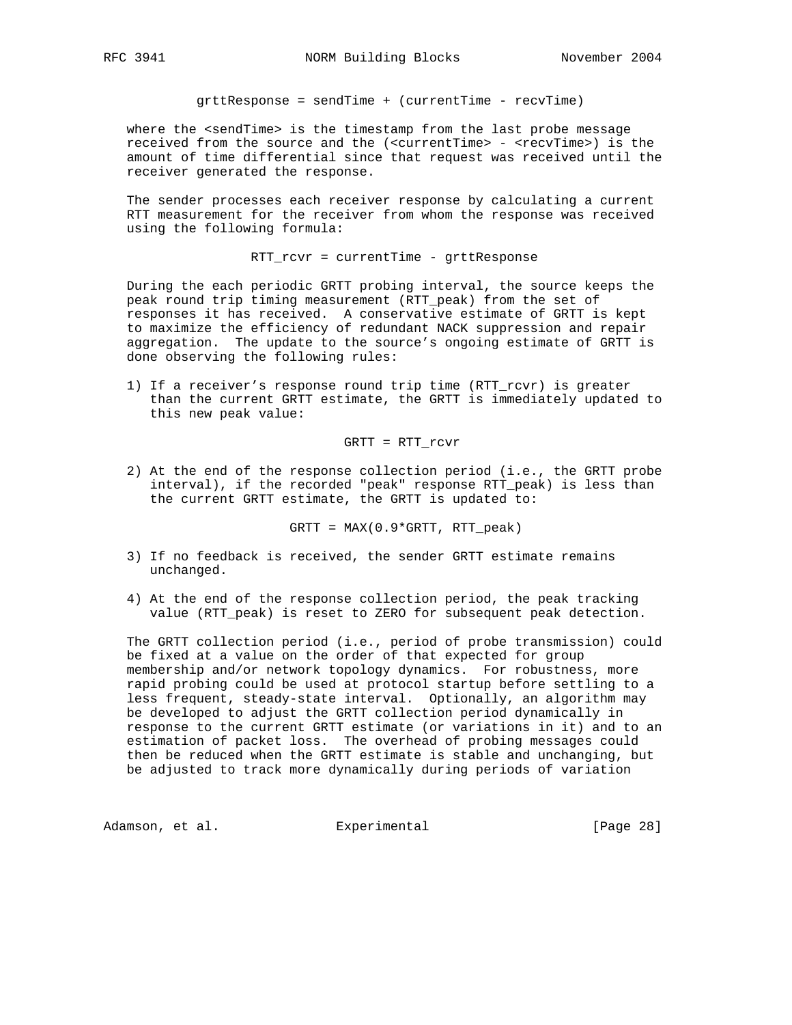grttResponse = sendTime + (currentTime - recvTime)

where the <sendTime> is the timestamp from the last probe message received from the source and the (<currentTime> - <recvTime>) is the amount of time differential since that request was received until the receiver generated the response.

 The sender processes each receiver response by calculating a current RTT measurement for the receiver from whom the response was received using the following formula:

RTT\_rcvr = currentTime - grttResponse

 During the each periodic GRTT probing interval, the source keeps the peak round trip timing measurement (RTT\_peak) from the set of responses it has received. A conservative estimate of GRTT is kept to maximize the efficiency of redundant NACK suppression and repair aggregation. The update to the source's ongoing estimate of GRTT is done observing the following rules:

 1) If a receiver's response round trip time (RTT\_rcvr) is greater than the current GRTT estimate, the GRTT is immediately updated to this new peak value:

GRTT = RTT\_rcvr

 2) At the end of the response collection period (i.e., the GRTT probe interval), if the recorded "peak" response RTT\_peak) is less than the current GRTT estimate, the GRTT is updated to:

GRTT = MAX(0.9\*GRTT, RTT\_peak)

- 3) If no feedback is received, the sender GRTT estimate remains unchanged.
- 4) At the end of the response collection period, the peak tracking value (RTT\_peak) is reset to ZERO for subsequent peak detection.

 The GRTT collection period (i.e., period of probe transmission) could be fixed at a value on the order of that expected for group membership and/or network topology dynamics. For robustness, more rapid probing could be used at protocol startup before settling to a less frequent, steady-state interval. Optionally, an algorithm may be developed to adjust the GRTT collection period dynamically in response to the current GRTT estimate (or variations in it) and to an estimation of packet loss. The overhead of probing messages could then be reduced when the GRTT estimate is stable and unchanging, but be adjusted to track more dynamically during periods of variation

Adamson, et al. Experimental [Page 28]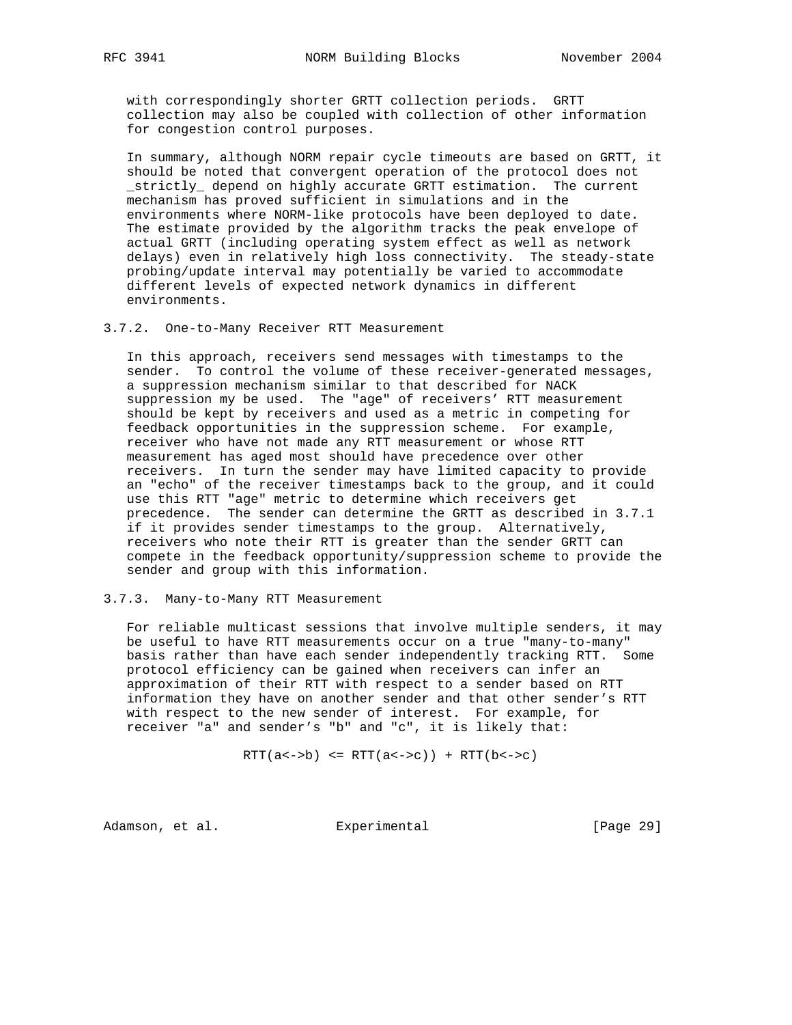with correspondingly shorter GRTT collection periods. GRTT collection may also be coupled with collection of other information for congestion control purposes.

 In summary, although NORM repair cycle timeouts are based on GRTT, it should be noted that convergent operation of the protocol does not \_strictly\_ depend on highly accurate GRTT estimation. The current mechanism has proved sufficient in simulations and in the environments where NORM-like protocols have been deployed to date. The estimate provided by the algorithm tracks the peak envelope of actual GRTT (including operating system effect as well as network delays) even in relatively high loss connectivity. The steady-state probing/update interval may potentially be varied to accommodate different levels of expected network dynamics in different environments.

3.7.2. One-to-Many Receiver RTT Measurement

 In this approach, receivers send messages with timestamps to the sender. To control the volume of these receiver-generated messages, a suppression mechanism similar to that described for NACK suppression my be used. The "age" of receivers' RTT measurement should be kept by receivers and used as a metric in competing for feedback opportunities in the suppression scheme. For example, receiver who have not made any RTT measurement or whose RTT measurement has aged most should have precedence over other receivers. In turn the sender may have limited capacity to provide an "echo" of the receiver timestamps back to the group, and it could use this RTT "age" metric to determine which receivers get precedence. The sender can determine the GRTT as described in 3.7.1 if it provides sender timestamps to the group. Alternatively, receivers who note their RTT is greater than the sender GRTT can compete in the feedback opportunity/suppression scheme to provide the sender and group with this information.

#### 3.7.3. Many-to-Many RTT Measurement

 For reliable multicast sessions that involve multiple senders, it may be useful to have RTT measurements occur on a true "many-to-many" basis rather than have each sender independently tracking RTT. Some protocol efficiency can be gained when receivers can infer an approximation of their RTT with respect to a sender based on RTT information they have on another sender and that other sender's RTT with respect to the new sender of interest. For example, for receiver "a" and sender's "b" and "c", it is likely that:

 $RTT(a<->b) \leq RTT(a<->c) + RTT(b<->c)$ 

Adamson, et al. Experimental Formula (Page 29)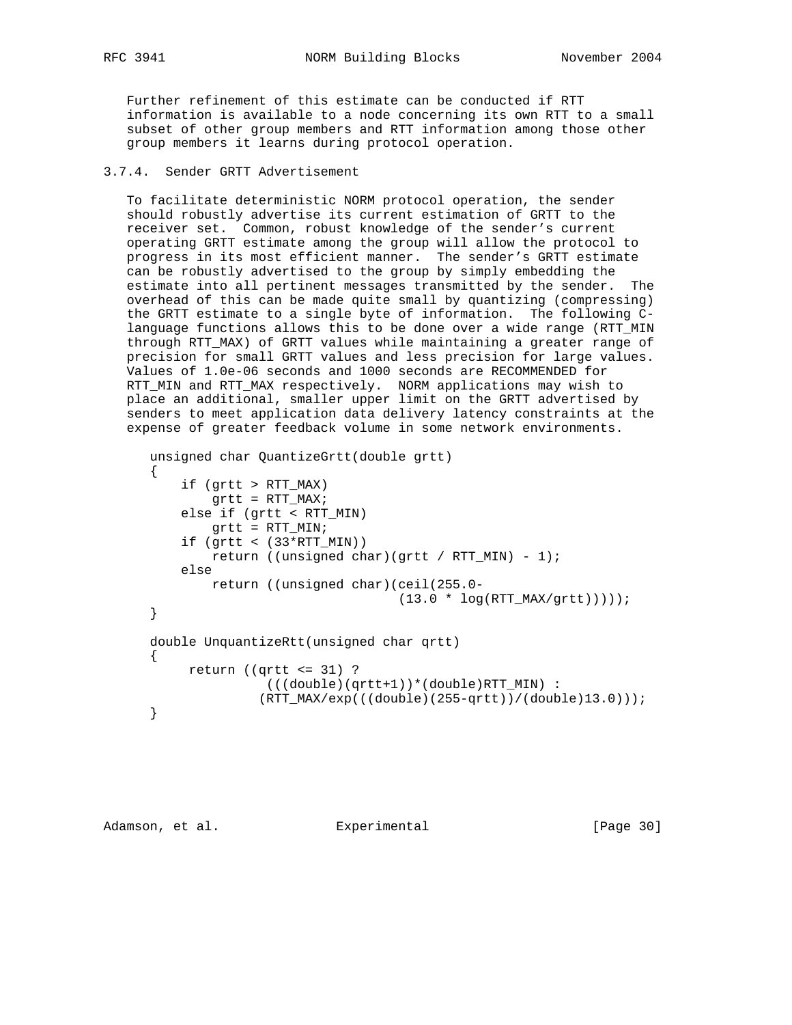RFC 3941 NORM Building Blocks November 2004

 Further refinement of this estimate can be conducted if RTT information is available to a node concerning its own RTT to a small subset of other group members and RTT information among those other group members it learns during protocol operation.

# 3.7.4. Sender GRTT Advertisement

 To facilitate deterministic NORM protocol operation, the sender should robustly advertise its current estimation of GRTT to the receiver set. Common, robust knowledge of the sender's current operating GRTT estimate among the group will allow the protocol to progress in its most efficient manner. The sender's GRTT estimate can be robustly advertised to the group by simply embedding the estimate into all pertinent messages transmitted by the sender. The overhead of this can be made quite small by quantizing (compressing) the GRTT estimate to a single byte of information. The following C language functions allows this to be done over a wide range (RTT\_MIN through RTT\_MAX) of GRTT values while maintaining a greater range of precision for small GRTT values and less precision for large values. Values of 1.0e-06 seconds and 1000 seconds are RECOMMENDED for RTT\_MIN and RTT\_MAX respectively. NORM applications may wish to place an additional, smaller upper limit on the GRTT advertised by senders to meet application data delivery latency constraints at the expense of greater feedback volume in some network environments.

```
 unsigned char QuantizeGrtt(double grtt)
 {
     if (grtt > RTT_MAX)
       grtt = RTT_MAX; else if (grtt < RTT_MIN)
        grtt = RTT_MIN;
    if (grtt < (33*RTT_MIN))return ((unsigned char)(grtt / RTT_MIN) - 1);
     else
         return ((unsigned char)(ceil(255.0-
                                  (13.0 * log(RTT_MAX/grtt)))));
 }
 double UnquantizeRtt(unsigned char qrtt)
 {
      return ((qrtt <= 31) ?
                (((double)(qrtt+1))*(double)RTT_MIN) :
               (RTT_MAX/exp(((double)(255-qrtt))/(double)13.0)));
 }
```

```
Adamson, et al. experimental [Page 30]
```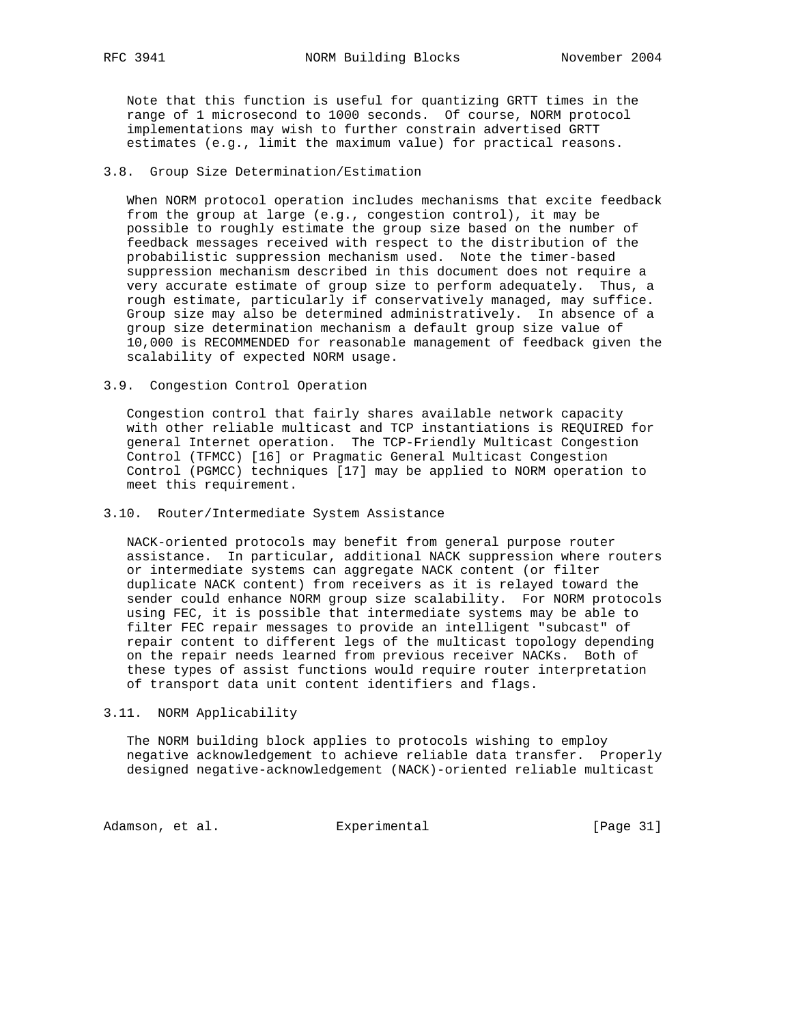Note that this function is useful for quantizing GRTT times in the range of 1 microsecond to 1000 seconds. Of course, NORM protocol implementations may wish to further constrain advertised GRTT estimates (e.g., limit the maximum value) for practical reasons.

### 3.8. Group Size Determination/Estimation

 When NORM protocol operation includes mechanisms that excite feedback from the group at large (e.g., congestion control), it may be possible to roughly estimate the group size based on the number of feedback messages received with respect to the distribution of the probabilistic suppression mechanism used. Note the timer-based suppression mechanism described in this document does not require a very accurate estimate of group size to perform adequately. Thus, a rough estimate, particularly if conservatively managed, may suffice. Group size may also be determined administratively. In absence of a group size determination mechanism a default group size value of 10,000 is RECOMMENDED for reasonable management of feedback given the scalability of expected NORM usage.

3.9. Congestion Control Operation

 Congestion control that fairly shares available network capacity with other reliable multicast and TCP instantiations is REQUIRED for general Internet operation. The TCP-Friendly Multicast Congestion Control (TFMCC) [16] or Pragmatic General Multicast Congestion Control (PGMCC) techniques [17] may be applied to NORM operation to meet this requirement.

### 3.10. Router/Intermediate System Assistance

 NACK-oriented protocols may benefit from general purpose router assistance. In particular, additional NACK suppression where routers or intermediate systems can aggregate NACK content (or filter duplicate NACK content) from receivers as it is relayed toward the sender could enhance NORM group size scalability. For NORM protocols using FEC, it is possible that intermediate systems may be able to filter FEC repair messages to provide an intelligent "subcast" of repair content to different legs of the multicast topology depending on the repair needs learned from previous receiver NACKs. Both of these types of assist functions would require router interpretation of transport data unit content identifiers and flags.

3.11. NORM Applicability

 The NORM building block applies to protocols wishing to employ negative acknowledgement to achieve reliable data transfer. Properly designed negative-acknowledgement (NACK)-oriented reliable multicast

Adamson, et al. Experimental [Page 31]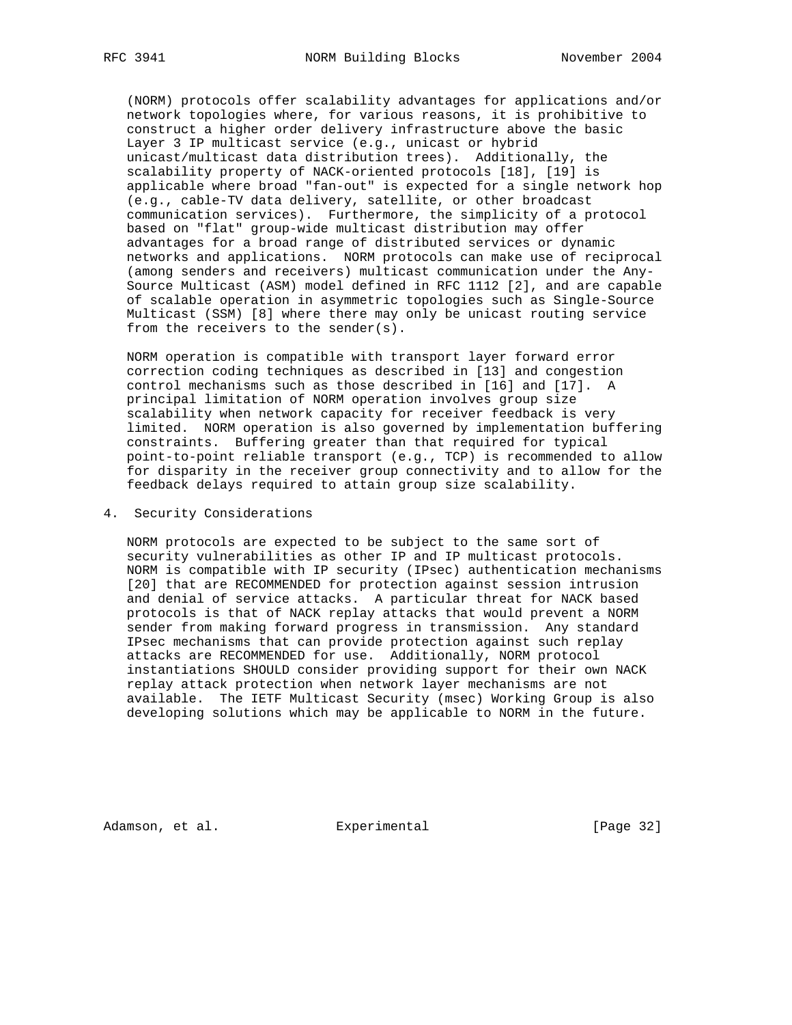(NORM) protocols offer scalability advantages for applications and/or network topologies where, for various reasons, it is prohibitive to construct a higher order delivery infrastructure above the basic Layer 3 IP multicast service (e.g., unicast or hybrid unicast/multicast data distribution trees). Additionally, the scalability property of NACK-oriented protocols [18], [19] is applicable where broad "fan-out" is expected for a single network hop (e.g., cable-TV data delivery, satellite, or other broadcast communication services). Furthermore, the simplicity of a protocol based on "flat" group-wide multicast distribution may offer advantages for a broad range of distributed services or dynamic networks and applications. NORM protocols can make use of reciprocal (among senders and receivers) multicast communication under the Any- Source Multicast (ASM) model defined in RFC 1112 [2], and are capable of scalable operation in asymmetric topologies such as Single-Source Multicast (SSM) [8] where there may only be unicast routing service from the receivers to the sender(s).

 NORM operation is compatible with transport layer forward error correction coding techniques as described in [13] and congestion control mechanisms such as those described in [16] and [17]. A principal limitation of NORM operation involves group size scalability when network capacity for receiver feedback is very limited. NORM operation is also governed by implementation buffering constraints. Buffering greater than that required for typical point-to-point reliable transport (e.g., TCP) is recommended to allow for disparity in the receiver group connectivity and to allow for the feedback delays required to attain group size scalability.

### 4. Security Considerations

 NORM protocols are expected to be subject to the same sort of security vulnerabilities as other IP and IP multicast protocols. NORM is compatible with IP security (IPsec) authentication mechanisms [20] that are RECOMMENDED for protection against session intrusion and denial of service attacks. A particular threat for NACK based protocols is that of NACK replay attacks that would prevent a NORM sender from making forward progress in transmission. Any standard IPsec mechanisms that can provide protection against such replay attacks are RECOMMENDED for use. Additionally, NORM protocol instantiations SHOULD consider providing support for their own NACK replay attack protection when network layer mechanisms are not available. The IETF Multicast Security (msec) Working Group is also developing solutions which may be applicable to NORM in the future.

Adamson, et al. Experimental [Page 32]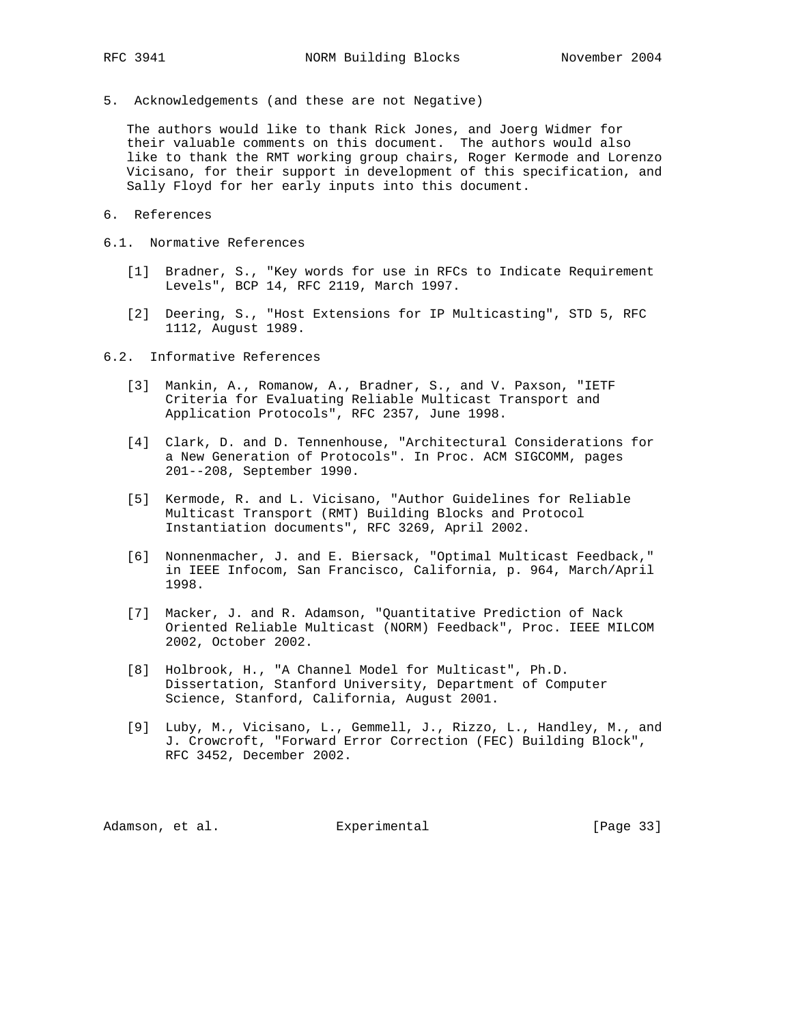5. Acknowledgements (and these are not Negative)

 The authors would like to thank Rick Jones, and Joerg Widmer for their valuable comments on this document. The authors would also like to thank the RMT working group chairs, Roger Kermode and Lorenzo Vicisano, for their support in development of this specification, and Sally Floyd for her early inputs into this document.

- 6. References
- 6.1. Normative References
	- [1] Bradner, S., "Key words for use in RFCs to Indicate Requirement Levels", BCP 14, RFC 2119, March 1997.
	- [2] Deering, S., "Host Extensions for IP Multicasting", STD 5, RFC 1112, August 1989.

6.2. Informative References

- [3] Mankin, A., Romanow, A., Bradner, S., and V. Paxson, "IETF Criteria for Evaluating Reliable Multicast Transport and Application Protocols", RFC 2357, June 1998.
- [4] Clark, D. and D. Tennenhouse, "Architectural Considerations for a New Generation of Protocols". In Proc. ACM SIGCOMM, pages 201--208, September 1990.
- [5] Kermode, R. and L. Vicisano, "Author Guidelines for Reliable Multicast Transport (RMT) Building Blocks and Protocol Instantiation documents", RFC 3269, April 2002.
- [6] Nonnenmacher, J. and E. Biersack, "Optimal Multicast Feedback," in IEEE Infocom, San Francisco, California, p. 964, March/April 1998.
- [7] Macker, J. and R. Adamson, "Quantitative Prediction of Nack Oriented Reliable Multicast (NORM) Feedback", Proc. IEEE MILCOM 2002, October 2002.
- [8] Holbrook, H., "A Channel Model for Multicast", Ph.D. Dissertation, Stanford University, Department of Computer Science, Stanford, California, August 2001.
- [9] Luby, M., Vicisano, L., Gemmell, J., Rizzo, L., Handley, M., and J. Crowcroft, "Forward Error Correction (FEC) Building Block", RFC 3452, December 2002.

Adamson, et al. experimental [Page 33]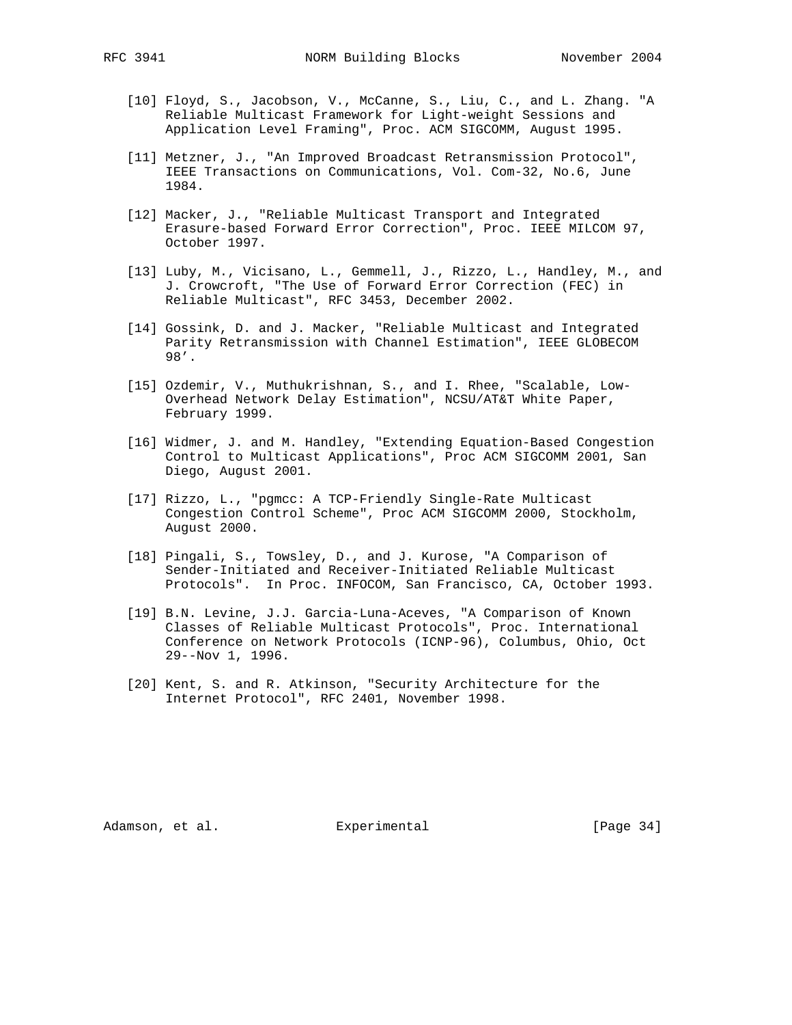- [10] Floyd, S., Jacobson, V., McCanne, S., Liu, C., and L. Zhang. "A Reliable Multicast Framework for Light-weight Sessions and Application Level Framing", Proc. ACM SIGCOMM, August 1995.
- [11] Metzner, J., "An Improved Broadcast Retransmission Protocol", IEEE Transactions on Communications, Vol. Com-32, No.6, June 1984.
- [12] Macker, J., "Reliable Multicast Transport and Integrated Erasure-based Forward Error Correction", Proc. IEEE MILCOM 97, October 1997.
- [13] Luby, M., Vicisano, L., Gemmell, J., Rizzo, L., Handley, M., and J. Crowcroft, "The Use of Forward Error Correction (FEC) in Reliable Multicast", RFC 3453, December 2002.
- [14] Gossink, D. and J. Macker, "Reliable Multicast and Integrated Parity Retransmission with Channel Estimation", IEEE GLOBECOM 98'.
- [15] Ozdemir, V., Muthukrishnan, S., and I. Rhee, "Scalable, Low- Overhead Network Delay Estimation", NCSU/AT&T White Paper, February 1999.
- [16] Widmer, J. and M. Handley, "Extending Equation-Based Congestion Control to Multicast Applications", Proc ACM SIGCOMM 2001, San Diego, August 2001.
- [17] Rizzo, L., "pgmcc: A TCP-Friendly Single-Rate Multicast Congestion Control Scheme", Proc ACM SIGCOMM 2000, Stockholm, August 2000.
- [18] Pingali, S., Towsley, D., and J. Kurose, "A Comparison of Sender-Initiated and Receiver-Initiated Reliable Multicast Protocols". In Proc. INFOCOM, San Francisco, CA, October 1993.
- [19] B.N. Levine, J.J. Garcia-Luna-Aceves, "A Comparison of Known Classes of Reliable Multicast Protocols", Proc. International Conference on Network Protocols (ICNP-96), Columbus, Ohio, Oct 29--Nov 1, 1996.
- [20] Kent, S. and R. Atkinson, "Security Architecture for the Internet Protocol", RFC 2401, November 1998.

Adamson, et al. **Experimental** [Page 34]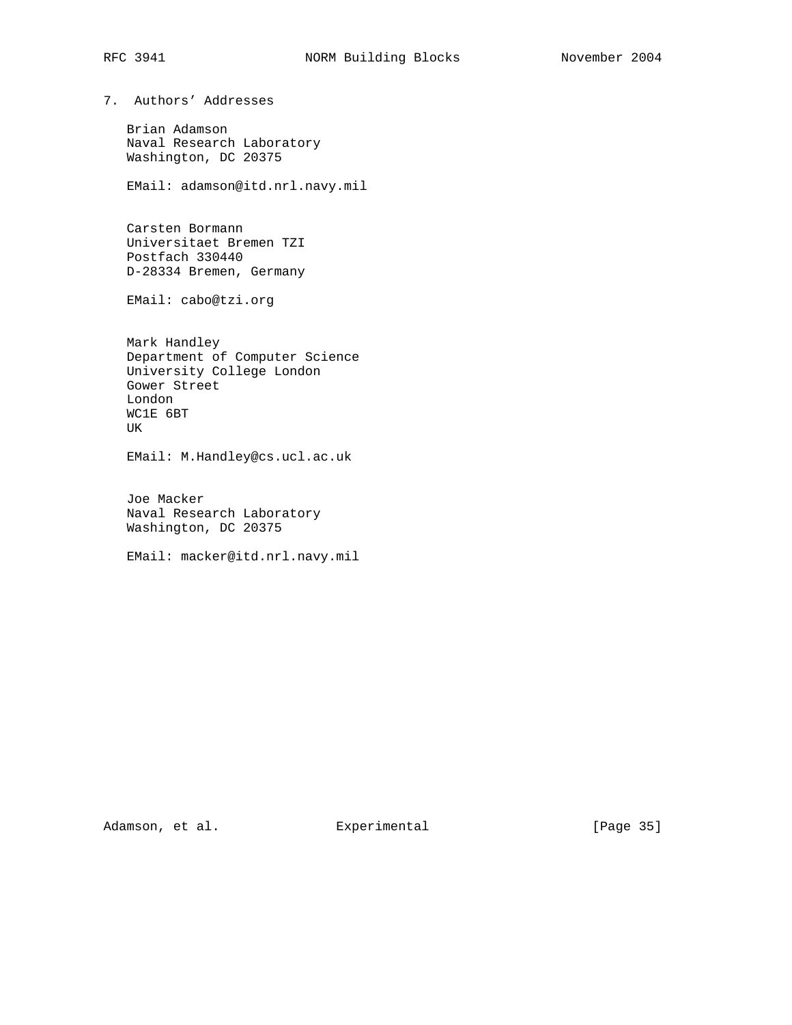7. Authors' Addresses

 Brian Adamson Naval Research Laboratory Washington, DC 20375

EMail: adamson@itd.nrl.navy.mil

 Carsten Bormann Universitaet Bremen TZI Postfach 330440 D-28334 Bremen, Germany

EMail: cabo@tzi.org

 Mark Handley Department of Computer Science University College London Gower Street London WC1E 6BT UK

EMail: M.Handley@cs.ucl.ac.uk

 Joe Macker Naval Research Laboratory Washington, DC 20375

EMail: macker@itd.nrl.navy.mil

Adamson, et al. Experimental [Page 35]